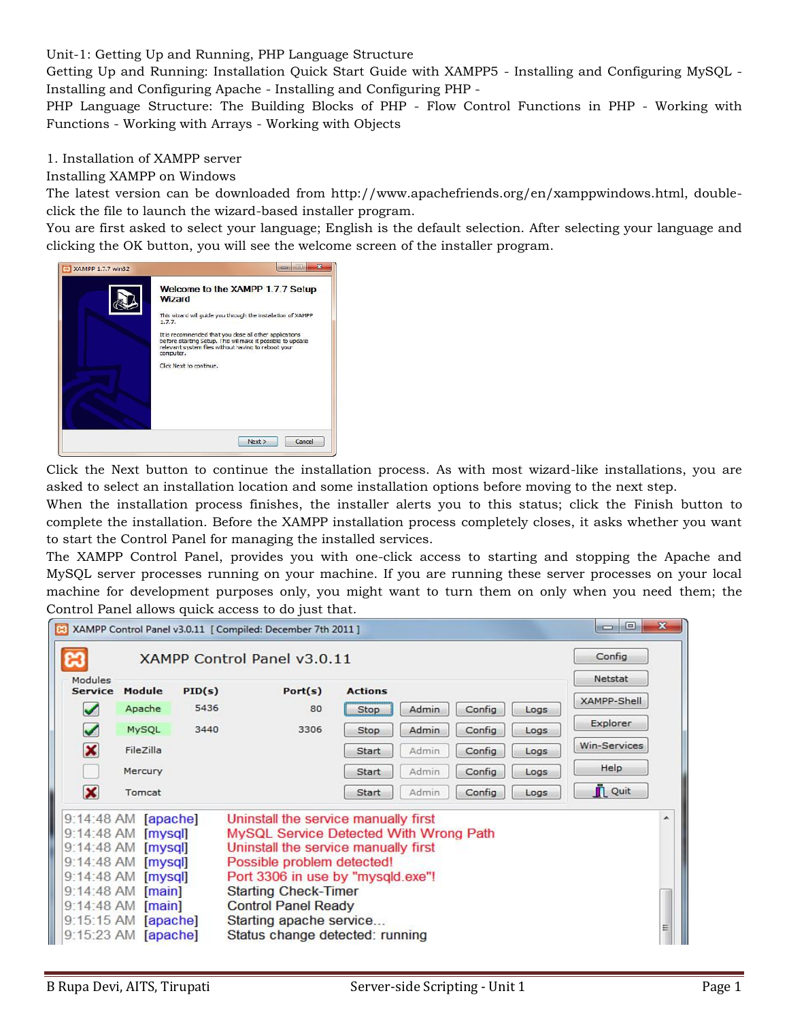Unit-1: Getting Up and Running, PHP Language Structure

Getting Up and Running: Installation Quick Start Guide with XAMPP5 - Installing and Configuring MySQL - Installing and Configuring Apache - Installing and Configuring PHP -

PHP Language Structure: The Building Blocks of PHP - Flow Control Functions in PHP - Working with Functions - Working with Arrays - Working with Objects

1. Installation of XAMPP server

# Installing XAMPP on Windows

The latest version can be downloaded from http://www.apachefriends.org/en/xamppwindows.html, doubleclick the file to launch the wizard-based installer program.

You are first asked to select your language; English is the default selection. After selecting your language and clicking the OK button, you will see the welcome screen of the installer program.



Click the Next button to continue the installation process. As with most wizard-like installations, you are asked to select an installation location and some installation options before moving to the next step.

When the installation process finishes, the installer alerts you to this status; click the Finish button to complete the installation. Before the XAMPP installation process completely closes, it asks whether you want to start the Control Panel for managing the installed services.

The XAMPP Control Panel, provides you with one-click access to starting and stopping the Apache and MySQL server processes running on your machine. If you are running these server processes on your local machine for development purposes only, you might want to turn them on only when you need them; the Control Panel allows quick access to do just that.

| Θ.<br>$\mathbf{x}$<br><b>BSC</b> 39<br>[34] XAMPP Control Panel v3.0.11 [ Compiled: December 7th 2011 ] |                             |        |                                                                                |                |       |        |        |                |    |
|---------------------------------------------------------------------------------------------------------|-----------------------------|--------|--------------------------------------------------------------------------------|----------------|-------|--------|--------|----------------|----|
|                                                                                                         | XAMPP Control Panel v3.0.11 |        |                                                                                |                |       |        | Config |                |    |
| Modules<br><b>Service</b>                                                                               | Module                      | PID(s) | Port(s)                                                                        | <b>Actions</b> |       |        |        | Netstat        |    |
|                                                                                                         | Apache                      | 5436   | 80                                                                             | Stop           | Admin | Config | Logs   | XAMPP-Shell    |    |
| $\blacktriangledown$                                                                                    | MySQL                       | 3440   | 3306                                                                           | Stop           | Admin | Config | Logs   | Explorer       |    |
| ×                                                                                                       | FileZilla                   |        |                                                                                | Start          | Admin | Config | Logs   | Win-Services   |    |
|                                                                                                         | Mercury                     |        |                                                                                | Start          | Admin | Config | Logs   | Help           |    |
| X                                                                                                       | Tomcat                      |        |                                                                                | Start          | Admin | Config | Logs   | <b>IL</b> Quit |    |
| 9:14:48 AM [apache]<br>Uninstall the service manually first<br>9:14:48 AM [mysql]                       |                             |        |                                                                                |                |       |        |        |                | Ä, |
|                                                                                                         |                             |        | MySQL Service Detected With Wrong Path<br>Uninstall the service manually first |                |       |        |        |                |    |
| 9:14:48 AM [mysql]<br>9:14:48 AM [mysql]<br>Possible problem detected!                                  |                             |        |                                                                                |                |       |        |        |                |    |
| Port 3306 in use by "mysqld.exe"!<br>9:14:48 AM [mysql]                                                 |                             |        |                                                                                |                |       |        |        |                |    |
|                                                                                                         | 9:14:48 AM [main]           |        | <b>Starting Check-Timer</b>                                                    |                |       |        |        |                |    |
|                                                                                                         | 9:14:48 AM [main]           |        | <b>Control Panel Ready</b>                                                     |                |       |        |        |                |    |
|                                                                                                         | 9:15:15 AM [apache]         |        | Starting apache service                                                        |                |       |        |        |                | Ξ  |
|                                                                                                         | 9:15:23 AM [apache]         |        | Status change detected: running                                                |                |       |        |        |                |    |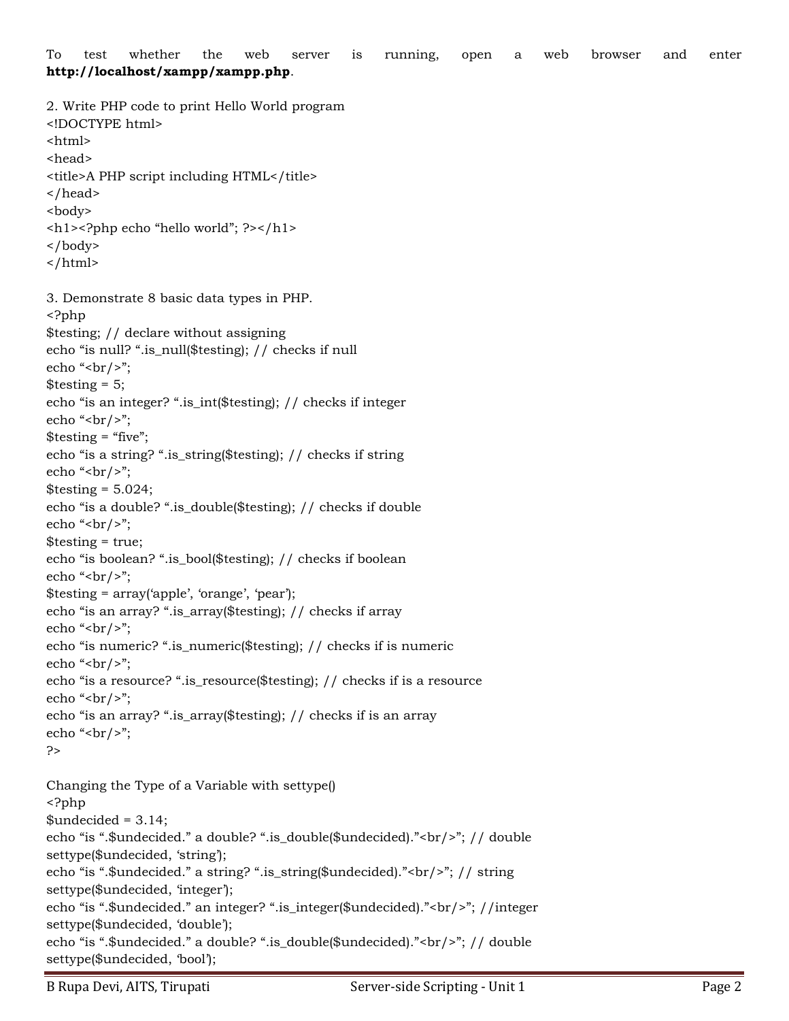To test whether the web server is running, open a web browser and enter **http://localhost/xampp/xampp.php**.

2. Write PHP code to print Hello World program

```
<!DOCTYPE html>
<html>
<head>
<title>A PHP script including HTML</title>
</head>
<body>
<h1><?php echo "hello world"; ?></h1>
</body>
</html>
3. Demonstrate 8 basic data types in PHP.
<?php
$testing; // declare without assigning
echo "is null? ".is_null($testing); // checks if null
echo "<br/>shot \gamma";
\text{Stesting} = 5;echo "is an integer? ".is_int($testing); // checks if integer
echo "<br/>shot \gamma;
\text{Stesting} = \text{``five''};echo "is a string? ".is_string($testing); // checks if string
echo "<br/>>br/>";
\text{Stesting} = 5.024;echo "is a double? ".is_double($testing); // checks if double
echo "<br/>shot \frac{1}{2}";
$testing = true;
echo "is boolean? ".is_bool($testing); // checks if boolean
echo "<br/>shot \gamma;
$testing = array('apple', 'orange', 'pear');
echo "is an array? ".is_array($testing); // checks if array
echo "<br/>shot \gamma";
echo "is numeric? ".is_numeric($testing); // checks if is numeric
echo "<br/>shot \gamma";
echo "is a resource? ".is_resource($testing); // checks if is a resource
echo "<br/>shot \gamma";
echo "is an array? ".is_array($testing); // checks if is an array
echo "<br/>shot \gamma";
?>
Changing the Type of a Variable with settype()
<?php
$undecided = 3.14;echo "is ".$undecided." a double? ".is_double($undecided)."<br/>"; // double
settype($undecided, 'string');
echo "is ".$undecided." a string? ".is_string($undecided)."<br/>"; // string
settype($undecided, 'integer');
echo "is ".$undecided." an integer? ".is_integer($undecided)."<br/>"; //integer
settype($undecided, 'double');
echo "is ".$undecided." a double? ".is_double($undecided)."<br/>"; // double
settype($undecided, 'bool');
```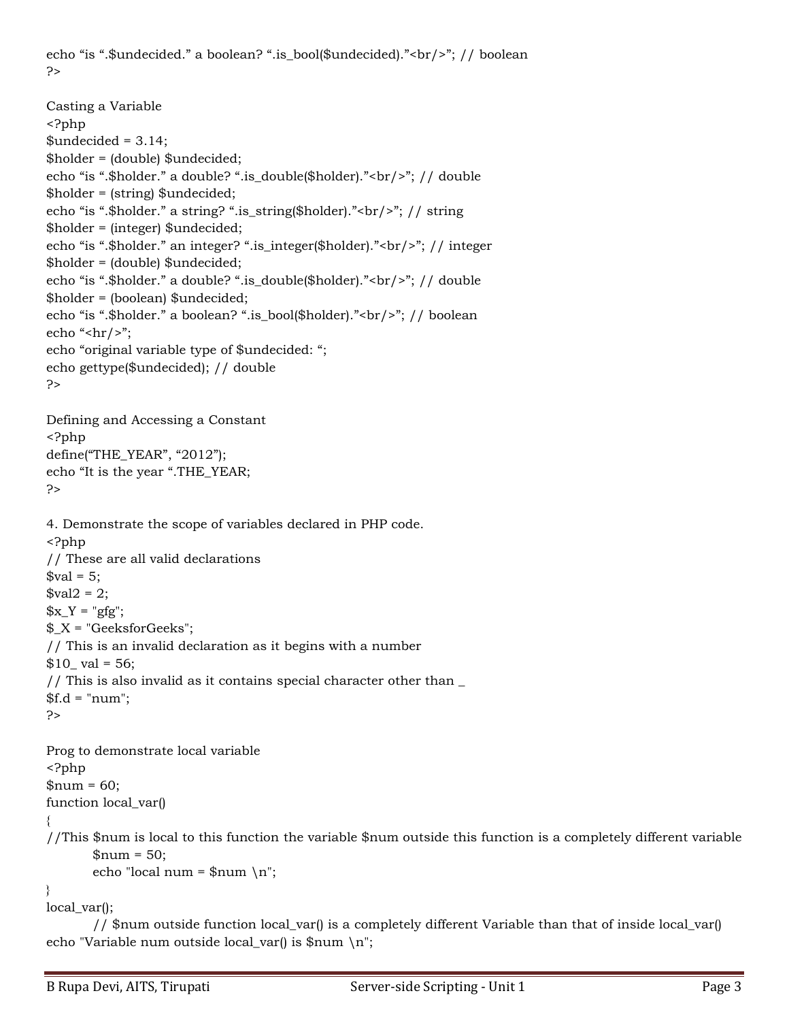echo "is ".\$undecided." a boolean? ".is\_bool(\$undecided)."<br/>"; // boolean ?>

```
Casting a Variable
<?php
$undecided = 3.14;$holder = (double) $undecided;
echo "is ".$holder." a double? ".is_double($holder)."<br/>"; // double
$holder = (string) $undecided;
echo "is ".$holder." a string? ".is_string($holder)."<br/>"; // string
$holder = (integer) $undecided;
echo "is ".$holder." an integer? ".is_integer($holder)."<br/>"; // integer
$holder = (double) $undecided;
echo "is ".$holder." a double? ".is_double($holder)."<br/>"; // double
$holder = (boolean) $undecided;
echo "is ".$holder." a boolean? ".is_bool($holder)."<br/>br/>"; // boolean
echo "<hr/>>";
echo "original variable type of $undecided: ";
echo gettype($undecided); // double
?>
Defining and Accessing a Constant
<?php
define("THE_YEAR", "2012");
echo "It is the year ".THE_YEAR;
?>
4. Demonstrate the scope of variables declared in PHP code.
<?php
// These are all valid declarations
$val = 5;\$val2 = 2;x_Y = "gfg";X = "GeeksforGeeks";// This is an invalid declaration as it begins with a number
$10 val = 56;
// This is also invalid as it contains special character other than \_$f.d = "num";?>
Prog to demonstrate local variable
<?php
```
 $$num = 60;$ function local\_var() { //This \$num is local to this function the variable \$num outside this function is a completely different variable  $$num = 50;$ 

```
echo "local num = \gammanum \n";
```
} local\_var();

// \$num outside function local\_var() is a completely different Variable than that of inside local\_var() echo "Variable num outside local\_var() is \$num \n";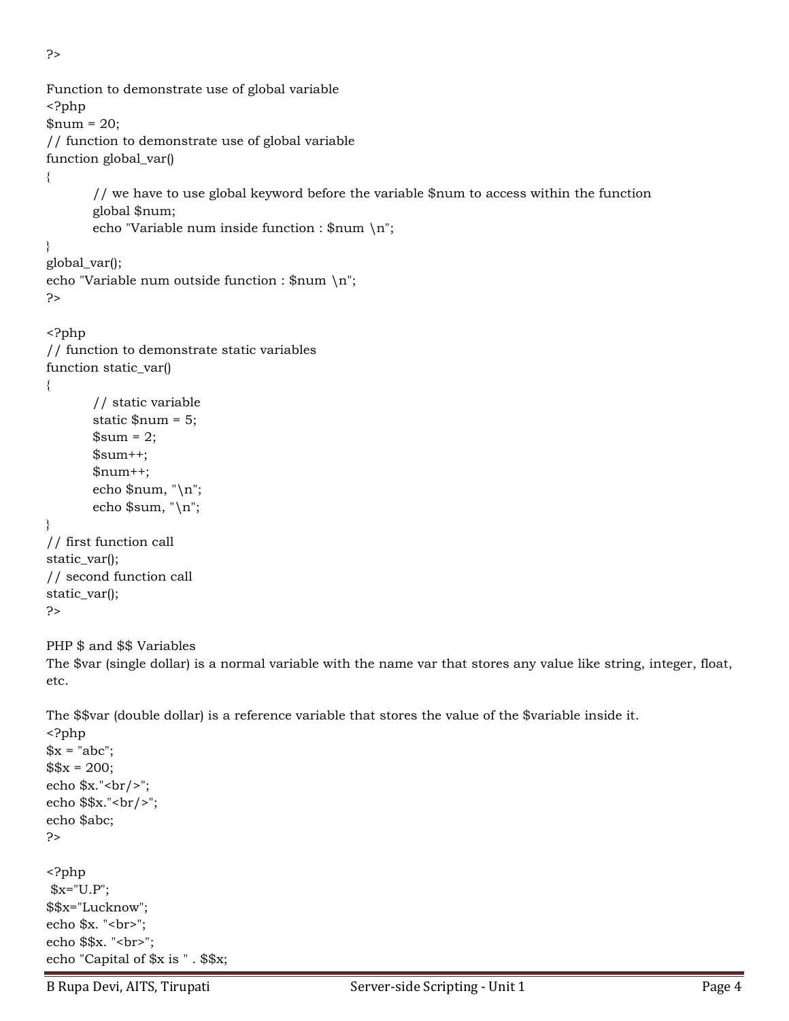```
?>
```

```
Function to demonstrate use of global variable
<?php
$num = 20;// function to demonstrate use of global variable
function global_var()
{
       // we have to use global keyword before the variable $num to access within the function
       global $num;
       echo "Variable num inside function : $num \n";
}
global_var();
echo "Variable num outside function : \gammanum \n";
?>
<?php
// function to demonstrate static variables
function static_var()
{
       // static variable
       static $num = 5;
       \text{\$sum} = 2;$sum++;$num++;echo $num, "\n";
       echo $sum, "\n";
}
// first function call
static_var();
// second function call
static_var();
?>
PHP $ and $$ Variables
The $var (single dollar) is a normal variable with the name var that stores any value like string, integer, float, 
etc.
The $$var (double dollar) is a reference variable that stores the value of the $variable inside it.
<?php 
x = "abc";$x = 200;echo x."<br/>>br/>";
echo $$x."<br/>>br/>";
echo $abc; 
?> 
<?php
```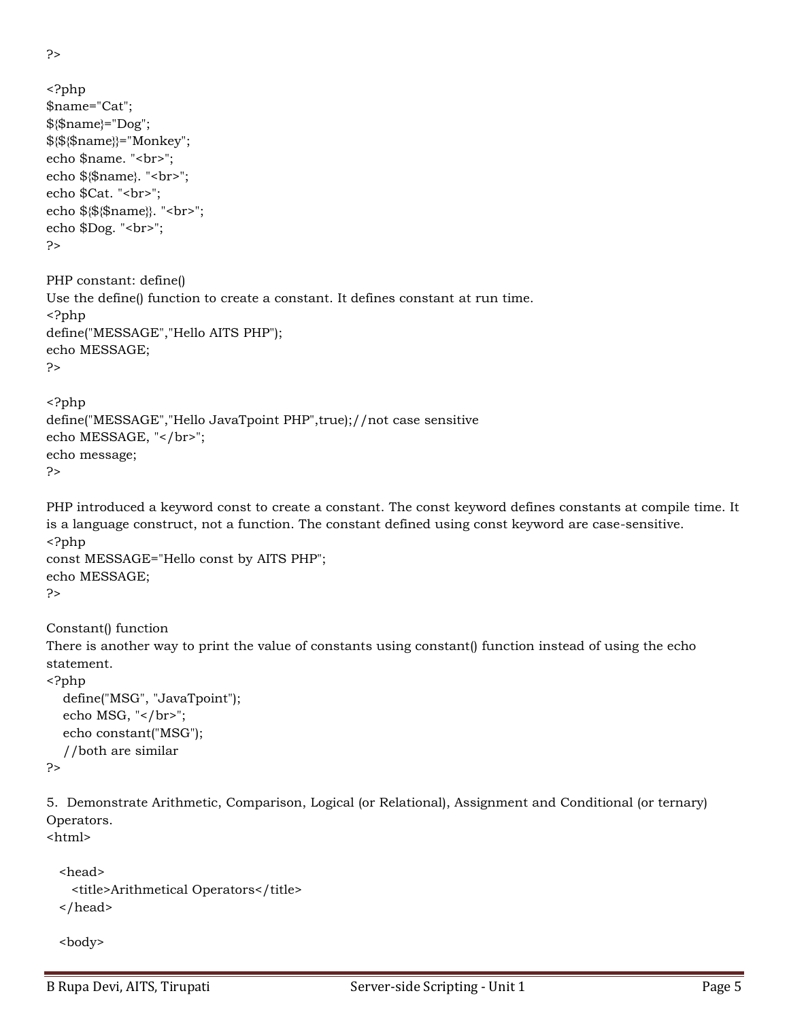```
?>
```

```
<?php 
$name="Cat"; 
${$name}="Dog"; 
${${$name}}="Monkey"; 
echo $name. "<br>";
echo ${$name}. "<br>";
echo $Cat. "<br>";
echo ${${$name}}. "<br>"; 
echo $Dog. "<br>";
?> 
PHP constant: define()
Use the define() function to create a constant. It defines constant at run time.
<?php 
define("MESSAGE","Hello AITS PHP"); 
echo MESSAGE; 
?>
<?php 
define("MESSAGE","Hello JavaTpoint PHP",true);//not case sensitive 
echo MESSAGE, "</br>";
echo message; 
?> 
PHP introduced a keyword const to create a constant. The const keyword defines constants at compile time. It 
is a language construct, not a function. The constant defined using const keyword are case-sensitive.
<?php 
const MESSAGE="Hello const by AITS PHP"; 
echo MESSAGE; 
?> 
Constant() function
There is another way to print the value of constants using constant() function instead of using the echo 
statement.
<?php 
   define("MSG", "JavaTpoint"); 
  echo MSG, "</br>";
   echo constant("MSG"); 
   //both are similar 
?> 
5. Demonstrate Arithmetic, Comparison, Logical (or Relational), Assignment and Conditional (or ternary) 
Operators.
<html>
   <head>
    <title>Arithmetical Operators</title>
```

```
 </head>
```

```
 <body>
```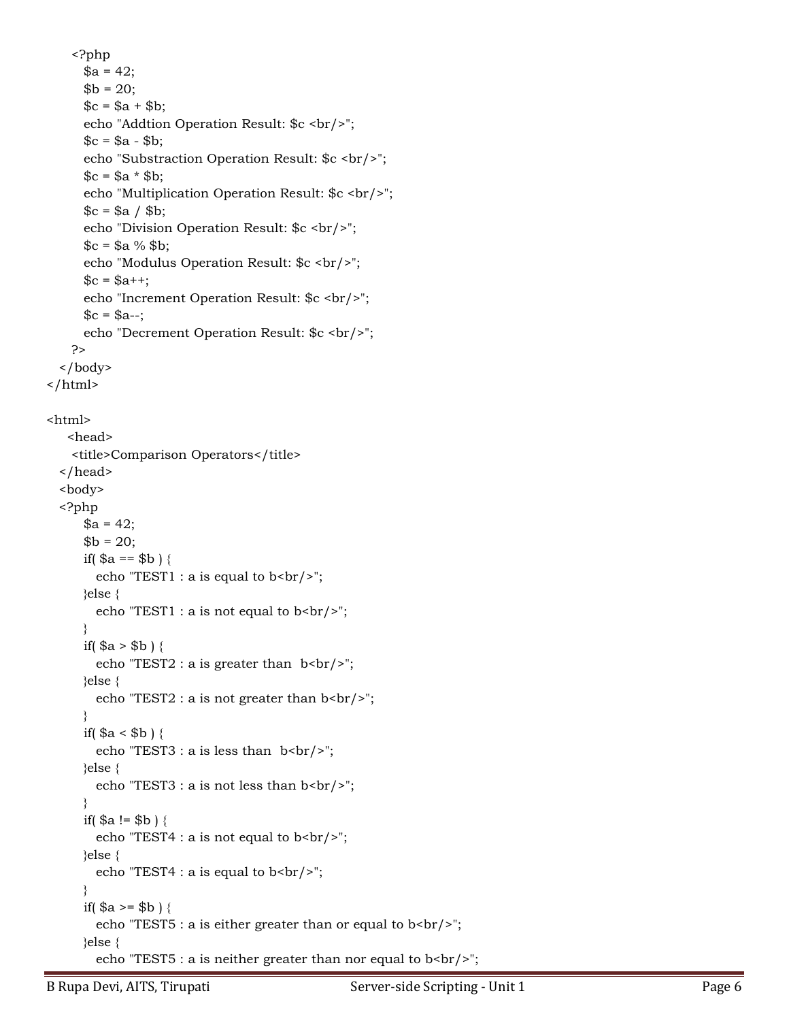<?php  $a = 42;$  $$b = 20;$  $c = $a + $b;$ echo "Addtion Operation Result: \$c <br/> <br/>t/>;  $c = $a - $b;$ echo "Substraction Operation Result: \$c <br/> <br/>br/>";  $c = $a * $b;$ echo "Multiplication Operation Result: \$c <br/> <br/>t/>;  $c = $a / $b;$ echo "Division Operation Result: \$c <br/> <br/>br/>";  $c = $a % $b;$ echo "Modulus Operation Result: \$c <br/>>br/>";  $c = $a^{++};$ echo "Increment Operation Result: \$c <br/> <br/>br/>";  $c = $a-$ ; echo "Decrement Operation Result: \$c <br/> <br/>t/>; ?> </body> </html>

```
<html>
```

```
 <head>
      <title>Comparison Operators</title>
   </head>
   <body>
   <?php
       a = 42;$b = 20;if( a = - b ) {
          echo "TEST1 : a is equal to b <br/>br/>";
        }else {
          echo "TEST1 : a is not equal to b <br/>>br/>";
\left\{\begin{array}{cc} \end{array}\right\}if( a > $b ) {
          echo "TEST2 : a is greater than b <br/>br/>";
        }else {
          echo "TEST2 : a is not greater than b <br/>br/>";
\left\{\begin{array}{cc} \end{array}\right\}if($a < $b$) {
          echo "TEST3 : a is less than b <br/>br/>";
        }else {
          echo "TEST3 : a is not less than b<br/>>br/>";
\left\{\begin{array}{cc} \end{array}\right\}if(\$a != \$b) {
          echo "TEST4 : a is not equal to b <br/> b";
        }else {
          echo "TEST4 : a is equal to b <br/> \frac{b}{r};
\left\{\begin{array}{cc} \end{array}\right\}if( a \geq b ) {
          echo "TEST5 : a is either greater than or equal to b <br/>br/>';
        }else {
          echo "TEST5 : a is neither greater than nor equal to b <br/>br/>';
```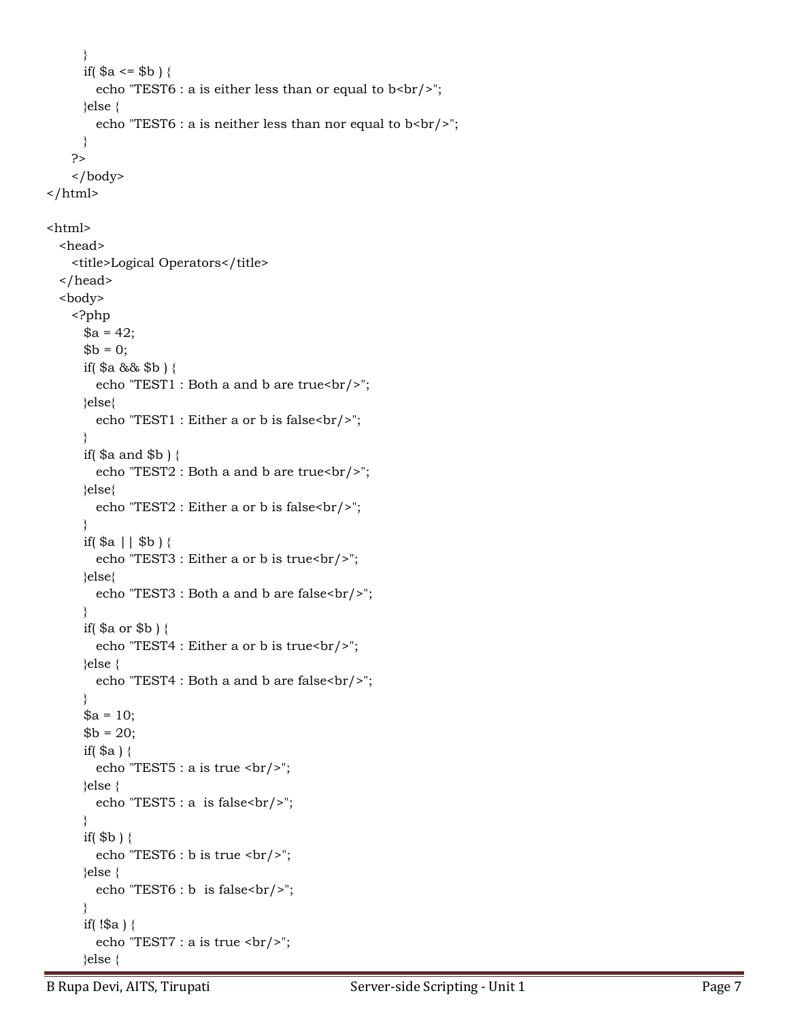```
\left\{\begin{array}{cc} \end{array}\right\}if( a \leq b ) {
          echo "TEST6 : a is either less than or equal to b<br/>stor/>";
        }else {
          echo "TEST6 : a is neither less than nor equal to b<br/>solverly);
         }
      ?>
      </body>
\langle/html>
```
## <html>

```
 <head>
     <title>Logical Operators</title>
   </head>
   <body>
      <?php
        a = 42;$b = 0; if( $a && $b ) {
           echo "TEST1 : Both a and b are true<br/>shipsimeson (>";
         }else{
           echo "TEST1 : Either a or b is false<br/>shipsimeson (>";
\left\{\begin{array}{cc} \end{array}\right\}if(\$a and \$b) {
           echo "TEST2 : Both a and b are true<br/>shipsim-
         }else{
            echo "TEST2 : Either a or b is false<br/>";
\left\{\begin{array}{cc} \end{array}\right\}if(\$a || \$b) {
           echo "TEST3 : Either a or b is true<br/>>br/>";
         }else{
           echo "TEST3 : Both a and b are false<br/>shown";
\left\{\begin{array}{cc} \end{array}\right\} if( $a or $b ) {
           echo "TEST4 : Either a or b is true<br/>shipsimes in the set of \frac{1}{2}";
         }else {
           echo "TEST4 : Both a and b are false<br/>shipsime.
\left\{\begin{array}{cc} \end{array}\right\}a = 10;$b = 20;if(\a){
           echo "TEST5 : a is true \text{br}/\text{F}";
         }else {
           echo "TEST5 : a is false\text{br}/\text{F}";
\left\{\begin{array}{cc} \end{array}\right\}if($b)}
           echo "TEST6 : b is true \text{br}/\text{F}";
         }else {
           echo "TEST6 : b is false<br/>>br/>";
\left\{\begin{array}{cc} \end{array}\right\}if( !\ a) {
           echo "TEST7 : a is true <br/> \langle b r / \rangle";
         }else {
```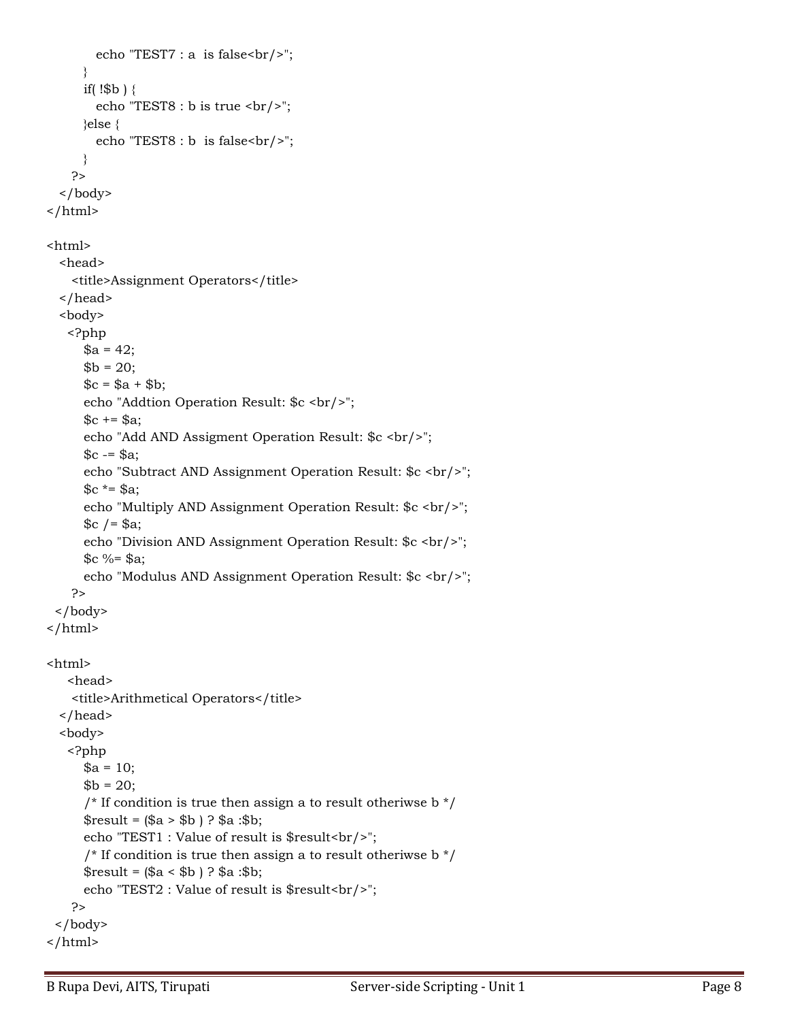```
echo "TEST7 : a is false\text{Br}/\text{F}";
       }
      if(!$b)\{echo "TEST8 : b is true <br/> \langle b r / \rangle";
       }else {
        echo "TEST8 : b is false<br/>>br/>";
       }
     ?>
   </body>
\frac{1}{\text{html}}<html>
   <head>
     <title>Assignment Operators</title>
   </head>
   <body>
    <?php
      a = 42;
      $b = 20;c = $a + $b;echo "Addtion Operation Result: $c <br/> <br/>br/>";
      c = $a;echo "Add AND Assigment Operation Result: $c <br/> <br/>br/>";
      c = $a;echo "Subtract AND Assignment Operation Result: $c <br/> <br/>br/>";
      c^* = $a;
      echo "Multiply AND Assignment Operation Result: $c <br/> <br/>t;
      c /= $a;
      echo "Division AND Assignment Operation Result: $c <br/> <br/>br/>";
      c %= $a;
      echo "Modulus AND Assignment Operation Result: $c <br/> <br/>t;
     ?>
 </body>
\langle/html><html>
    <head>
     <title>Arithmetical Operators</title>
   </head>
   <body>
    <?php
      a = 10;
      $b = 20;\frac{1}{x} If condition is true then assign a to result otheriwse b \frac{x}{x}$result = ($a > $b) ? $a : $b; echo "TEST1 : Value of result is $result<br/>";
      \frac{1}{x} If condition is true then assign a to result otheriwse b \frac{x}{x}$result = ($a < $b) ? $a : $b;echo "TEST2 : Value of result is $result<br/>>hr/>";
     ?>
  </body>
</html>
```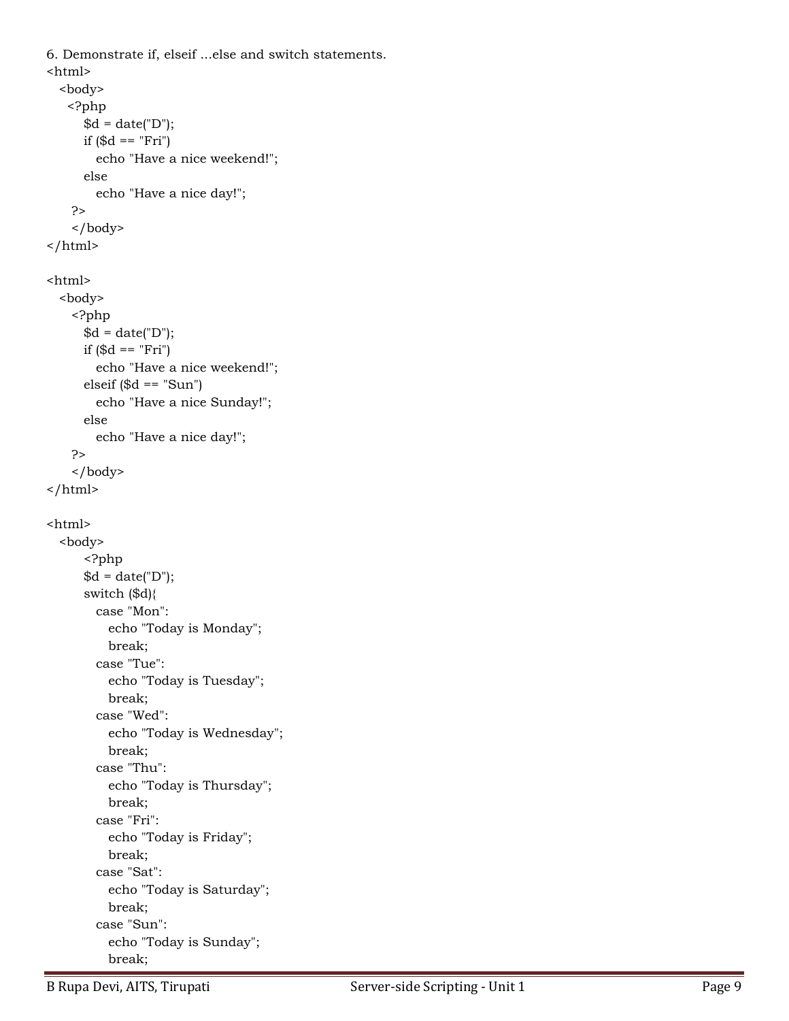```
6. Demonstrate if, elseif ...else and switch statements.
<html>
   <body>
    <?php
      d = date("D"); if ($d == "Fri")
         echo "Have a nice weekend!"; 
       else
         echo "Have a nice day!"; 
     ?>
     </body>
</html>
<html>
   <body>
     <?php
      d = date("D"); if ($d == "Fri")
         echo "Have a nice weekend!";
      elseif (\text{\$d} == "Sun") echo "Have a nice Sunday!"; 
       else
         echo "Have a nice day!"; 
     ?>
     </body>
\frac{1}{\text{html}}<html>
   <body>
       <?php
      d = date("D"); switch ($d){
         case "Mon":
           echo "Today is Monday";
           break;
         case "Tue":
           echo "Today is Tuesday";
           break;
         case "Wed":
           echo "Today is Wednesday";
           break;
         case "Thu":
           echo "Today is Thursday";
           break;
         case "Fri":
           echo "Today is Friday";
           break;
         case "Sat":
           echo "Today is Saturday";
           break;
         case "Sun":
           echo "Today is Sunday";
           break;
```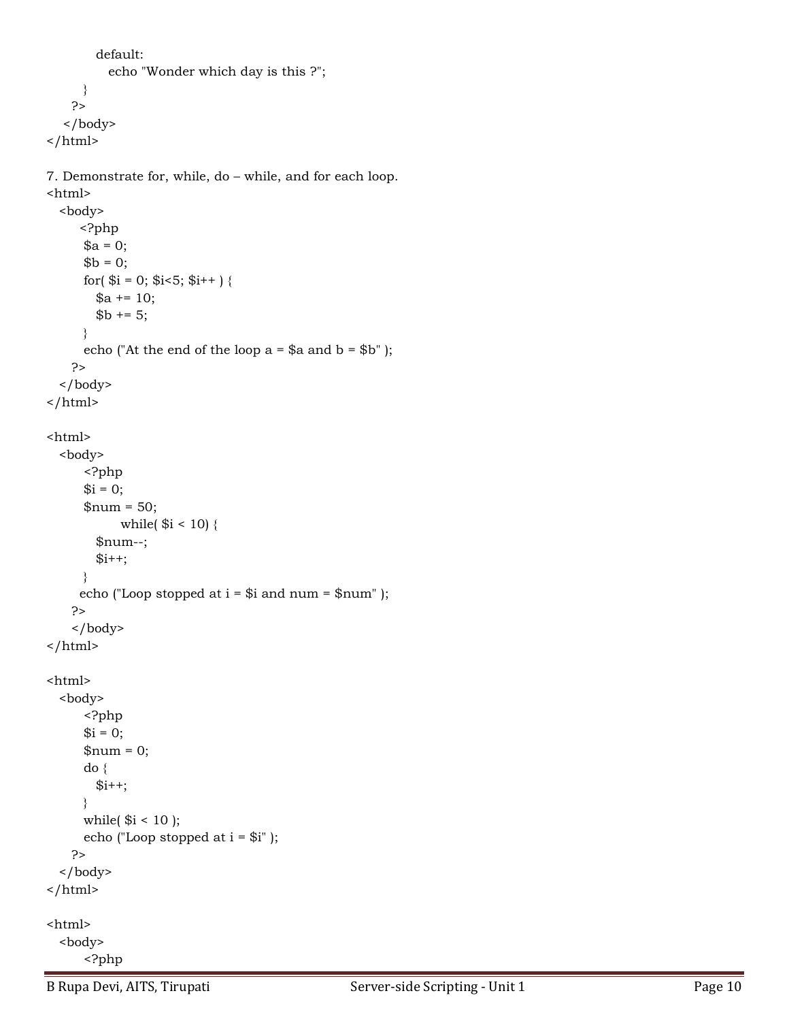```
 default:
           echo "Wonder which day is this ?";
      }
     ?>
   </body>
</html>
```
7. Demonstrate for, while, do – while, and for each loop. <html>

```
 <body>
      <?php
     a = 0;$b = 0;for(\$i = 0; \$i < 5; \$i + + ) {
        a := 10;$b += 5; }
     echo ("At the end of the loop a = $a and b = $b" );
     ?>
   </body>
</html>
<html>
   <body>
       <?php
      $i = 0;$num = 50;while($i < 10) {
         $num--;
        $i++; }
     echo ("Loop stopped at i = $i and num = $num");
     ?>
     </body>
\frac{1}{\text{html}}<html>
   <body>
       <?php
     $i = 0;$num = 0; do {
        $i++; }
     while($i < 10);
      echo ("Loop stopped at i = $i");
     ?>
   </body>
</html>
<html>
   <body>
       <?php
```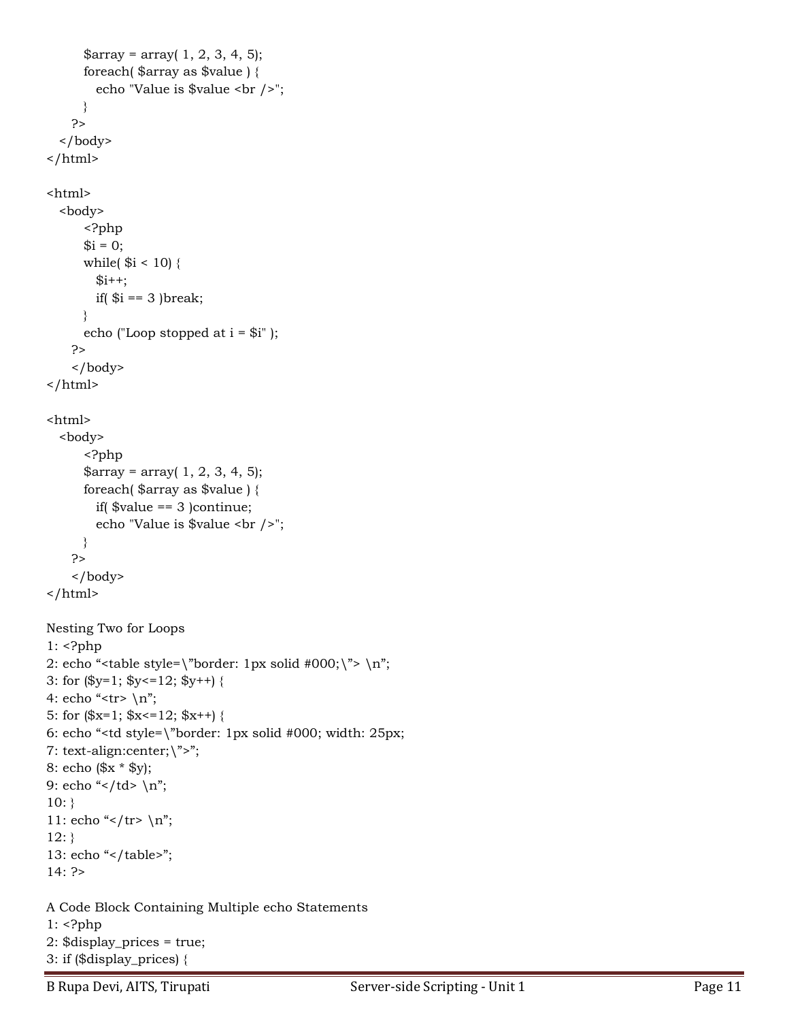```
$array = array( 1, 2, 3, 4, 5); foreach( $array as $value ) {
         echo "Value is $value <br />";
       }
     ?>
   </body>
</html>
<html>
   <body>
       <?php
      $i = 0;while($i < 10) {
        $i++;if($i == 3)break;
       }
       echo ("Loop stopped at i = $i" );
     ?>
     </body>
</html>
<html>
   <body>
       <?php
      $array = array( 1, 2, 3, 4, 5); foreach( $array as $value ) {
        if(\text{\$value} == 3) continue;
         echo "Value is $value <br />";
       }
     ?>
     </body>
\frac{1}{\text{html}}Nesting Two for Loops
1: \langle?php
2: echo "<table style=\"border: 1px solid #000;\"> \n";
3: for (\$y=1; \$y<=12; \$y++) {
4: echo "<tr> \n";
5: for (\$x=1; \$x<=12; \$x++) {
6: echo "<td style=\"border: 1px solid #000; width: 25px;
7: text-align:center;\">";
8: echo ($x * $y);
9: echo "</td> \n";
10:}
11: echo "</tr> \n";
12:}
13: echo "</table>";
14: ?>
A Code Block Containing Multiple echo Statements
1: <?php
2: $display_prices = true;
3: if ($display_prices) {
```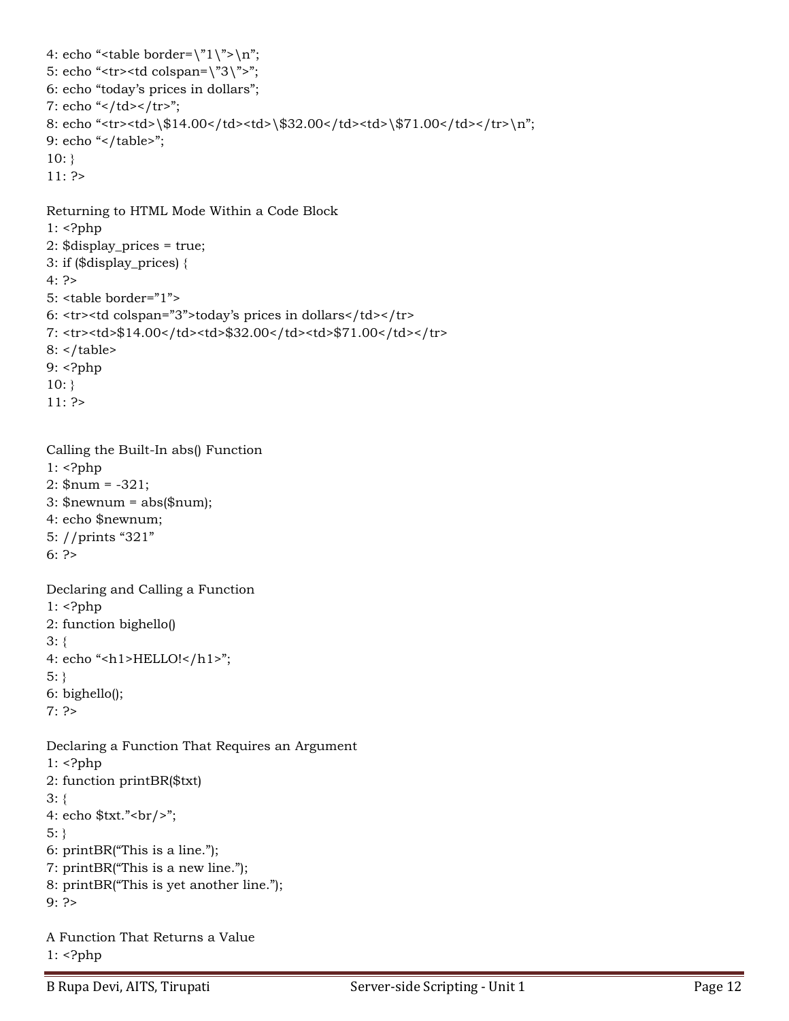```
4: echo "<table border=\lceil n \rceil;
5: echo "<tr><td colspan=\"3\">";
6: echo "today's prices in dollars";
7: echo "</td></tr>";
8: echo "<tr><td>\$14.00</td><td>\$32.00</td><td>\$71.00</td></tr>\n";
9: echo "</table>";
10:}
11: ?>
Returning to HTML Mode Within a Code Block
1: <?php
2: $display_prices = true;
3: if ($display_prices) {
4: ?>
5: <table border="1">
6: <tr><td colspan="3">today's prices in dollars</td></tr>
7: <tr><td>$14.00</td><td>$32.00</td><td>$71.00</td></tr>
8: </table>
9: <?php
10:}
11: ?>
Calling the Built-In abs() Function
1: <?php
2: $num = -321;
3:$newnum = abs($num);
4: echo $newnum;
5: //prints "321"
6: ?>
Declaring and Calling a Function
1: <?php
2: function bighello()
3: {
4: echo "<h1>HELLO!</h1>";
5: }
6: bighello();
7: ?>Declaring a Function That Requires an Argument
1: <?php
2: function printBR($txt)
3: {
4: echo xx:"<br/>>br/>";
5: }
```

```
6: printBR("This is a line.");
7: printBR("This is a new line.");
```

```
8: printBR("This is yet another line.");
```

```
9: ?>
```

```
A Function That Returns a Value
1: <?php
```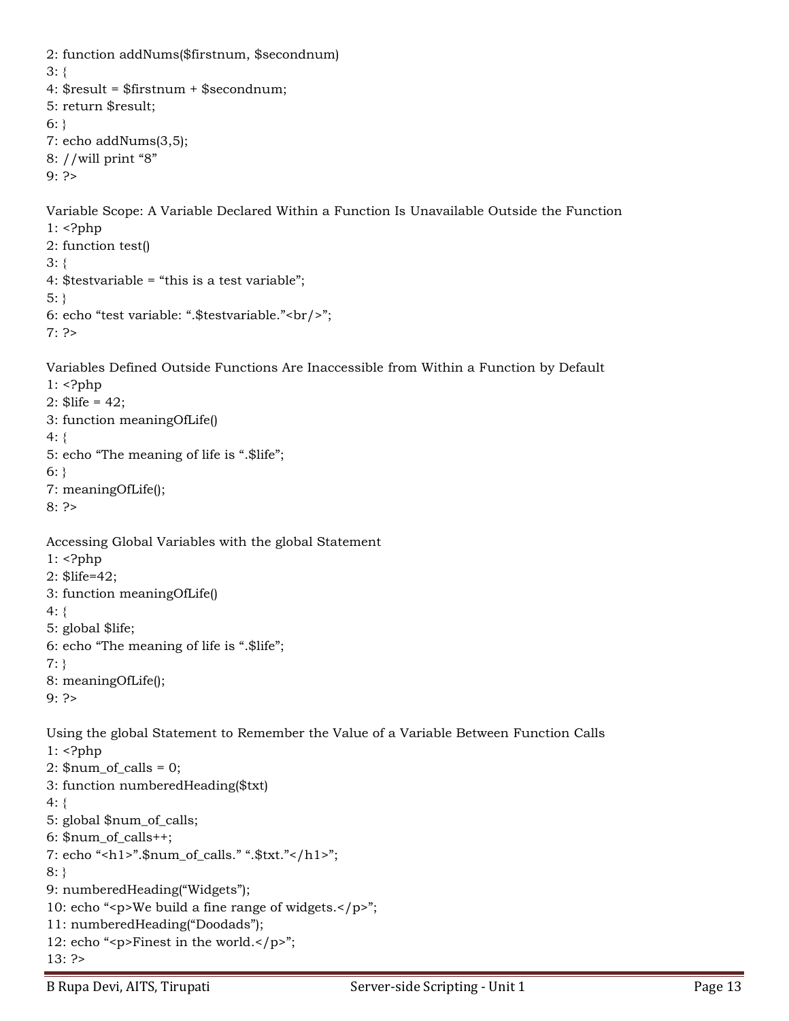```
2: function addNums($firstnum, $secondnum)
3: {
4: $result = $firstnum + $secondnum;
5: return $result;
6:}
7: echo addNums(3,5);
8: //will print "8"
9: ?>
Variable Scope: A Variable Declared Within a Function Is Unavailable Outside the Function
1: <?php
2: function test()
3: {
4: $testvariable = "this is a test variable";
5: }
6: echo "test variable: ".$testvariable."<br/>";
7: ?>
Variables Defined Outside Functions Are Inaccessible from Within a Function by Default
1: <?php
2: $life = 42;3: function meaningOfLife()
4: {
5: echo "The meaning of life is ".$life";
6:}
7: meaningOfLife();
8: ?>
Accessing Global Variables with the global Statement
1: <?php
2: $life=42;
3: function meaningOfLife()
4: {
5: global $life;
6: echo "The meaning of life is ".$life";
7: }
8: meaningOfLife();
9: ?>
Using the global Statement to Remember the Value of a Variable Between Function Calls
1: <?php
2: \text{\$num_of_calls} = 0;
3: function numberedHeading($txt)
4: {
5: global $num_of_calls;
6: $num_of_calls++;
7: echo "<h1>".$num_of_calls." ".$txt."</h1>";
8: }
9: numberedHeading("Widgets");
10: echo "<p>We build a fine range of widgets.</p>";
11: numberedHeading("Doodads");
12: echo "<p>Finest in the world.</p>";
```

```
13: ?>
```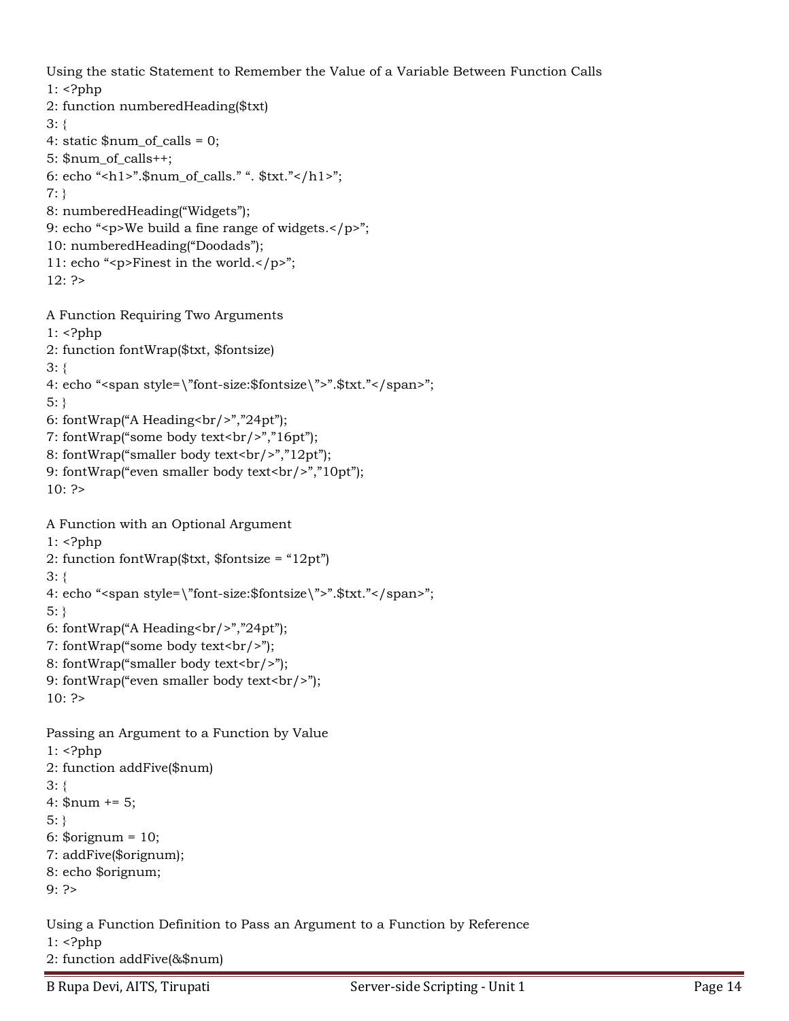Using the static Statement to Remember the Value of a Variable Between Function Calls 1: <?php

```
2: function numberedHeading($txt)
3: {
4: static $num_of_calls = 0;
5: $num_of_calls++;
6: echo "<h1>".$num_of_calls." ". $txt."</h1>";
7: }
8: numberedHeading("Widgets");
9: echo "<p>We build a fine range of widgets.</p>";
10: numberedHeading("Doodads");
11: echo "<p>Finest in the world.</p>";
12: ?>
A Function Requiring Two Arguments
1: <?php
2: function fontWrap($txt, $fontsize)
3: {
4: echo "<span style=\"font-size:$fontsize\">".$txt."</span>";
5: }
6: fontWrap("A Heading<br/>shr/>","24pt");
7: fontWrap("some body text<br/>shapping:
8: fontWrap("smaller body text<br/>>hr/>","12pt");
9: fontWrap("even smaller body text<br/>shown);
10: ?>
A Function with an Optional Argument
1: <?php
2: function fontWrap($txt, $fontsize = "12pt")
3: {
4: echo "<span style=\"font-size:$fontsize\">".$txt."</span>";
5: }
6: fontWrap("A Heading < br / >", "24pt");
7: fontWrap("some body text<br/>>heter(>");
8: fontWrap("smaller body text<br/>>hr/>");
9: fontWrap("even smaller body text<br/>shipsil);
10: ?Passing an Argument to a Function by Value
1: <?php
2: function addFive($num)
3: {
4: \text{\$num} += 5;
5: }
6: $orignum = 10;
7: addFive($orignum);
8: echo $orignum;
```
9: ?>

Using a Function Definition to Pass an Argument to a Function by Reference  $1:$   $\langle$ ?php 2: function addFive(&\$num)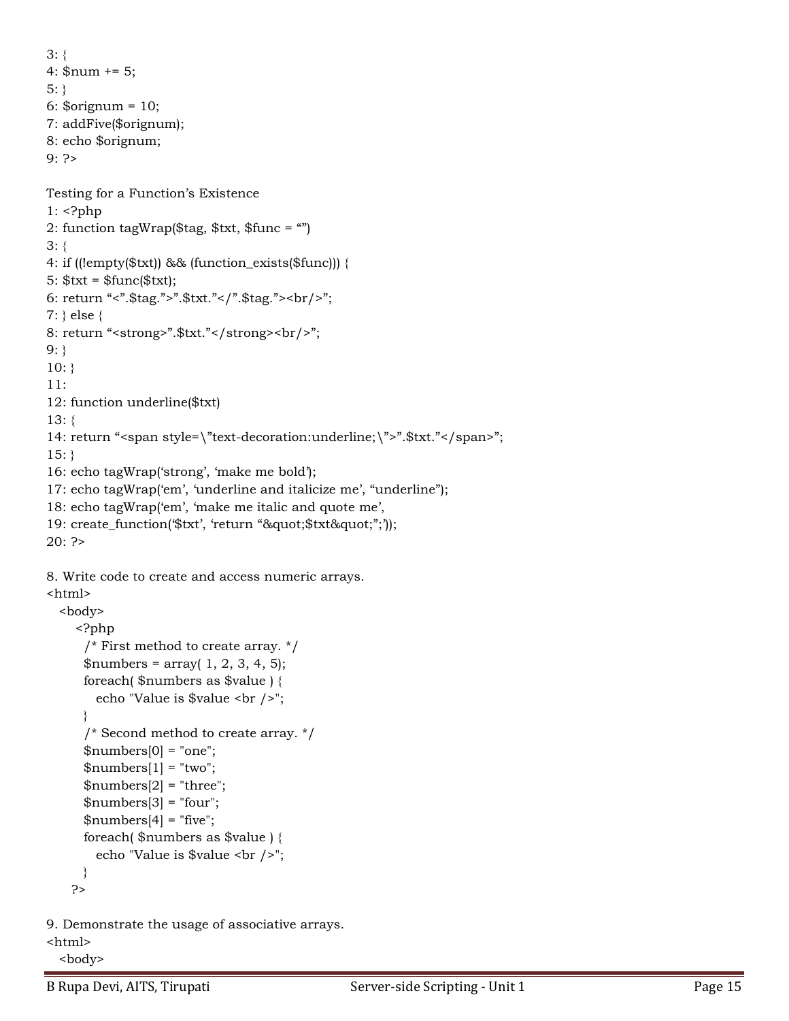```
3: {
4: \text{\$num} += 5;
5:}
6: $orignum = 10;
7: addFive($orignum);
8: echo $orignum;
9: ?>
Testing for a Function's Existence
1: <?php
2: function tagWrap($tag, $txt, $func = "")
3: {
4: if ((!empty($txt)) && (function_exists($func))) {
5: $txt = $func($txt);
6: return "<".$tag.">".$txt."</".$tag."><br/>";
7: } else {
8: return "<strong>".$txt."</strong><br/><br/>";
9:}
10:}
11:
12: function underline($txt)
13: {
14: return "<span style=\"text-decoration:underline;\">".$txt."</span>";
15:}
16: echo tagWrap('strong', 'make me bold');
17: echo tagWrap('em', 'underline and italicize me', "underline");
18: echo tagWrap('em', 'make me italic and quote me',
19: create_function($txt', 'return ""$txt"";'));
20: ?>8. Write code to create and access numeric arrays.
<html>
   <body>
     <?php
       /* First method to create array. */
      $numbers = array( 1, 2, 3, 4, 5); foreach( $numbers as $value ) {
         echo "Value is $value <br />";
       }
       /* Second method to create array. */
      $numbers[0] = "one";$numbers[1] = "two";$numbers[2] = "three";$numbers[3] = "four";$numbers[4] = "five"; foreach( $numbers as $value ) {
         echo "Value is $value <br />";
      }
     ?>
```
9. Demonstrate the usage of associative arrays. <html> <body>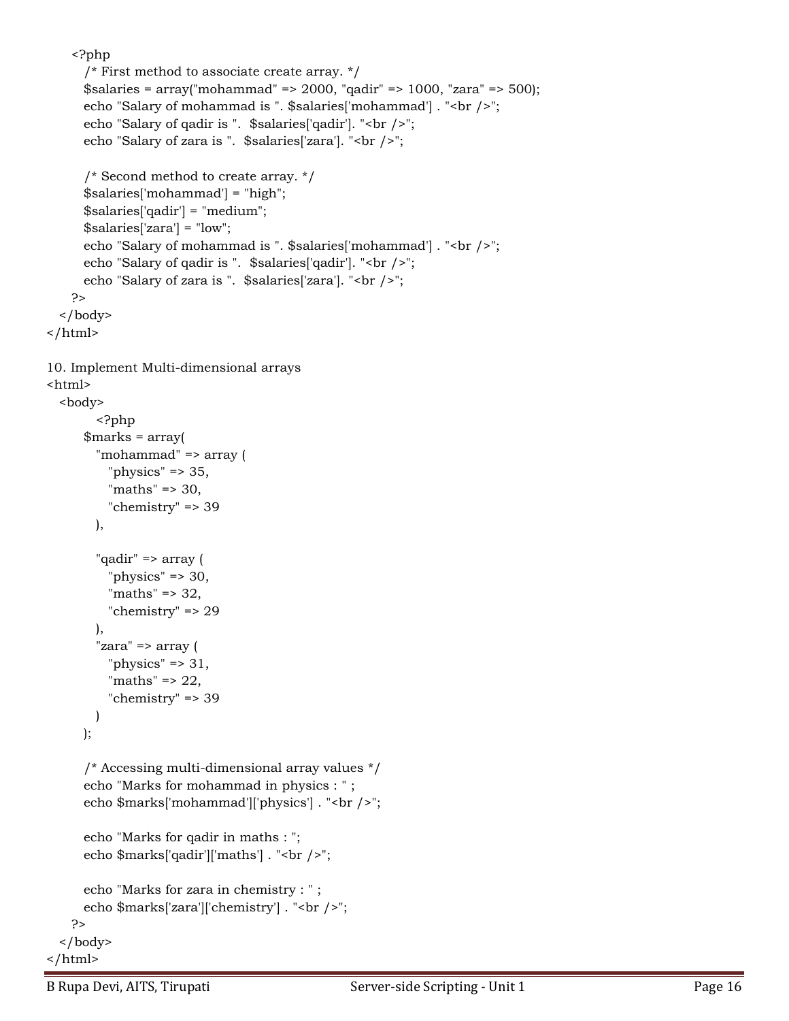```
 <?php
       /* First method to associate create array. */
       $salaries = array("mohammad" => 2000, "qadir" => 1000, "zara" => 500);
      echo "Salary of mohammad is ". $salaries['mohammad']. "<br />>";
      echo "Salary of qadir is ". $salaries['qadir']. "<br />>";
      echo "Salary of zara is ". $salaries['zara']. "<br />>";
       /* Second method to create array. */
       $salaries['mohammad'] = "high";
       $salaries['qadir'] = "medium";
       $salaries['zara'] = "low";
      echo "Salary of mohammad is ". $salaries['mohammad'] . "<br />>";
      echo "Salary of qadir is ". $salaries['qadir']. "<br />>";
      echo "Salary of zara is ". $salaries['zara']. "<br />";
     ?>
  </body>
</html>
10. Implement Multi-dimensional arrays
<html>
  <body>
         <?php
       $marks = array( 
         "mohammad" => array (
          "physics" \approx 35,
           "maths" => 30,
           "chemistry" => 39
         ),
         "qadir" => array (
          "physics" \Rightarrow 30,
          "maths" \Rightarrow 32,
           "chemistry" => 29
         ),
         "zara" => array (
          "physics" \Rightarrow 31,
          "maths" \Rightarrow 22,
           "chemistry" => 39
         )
      );
       /* Accessing multi-dimensional array values */
       echo "Marks for mohammad in physics : " ;
      echo $marks['mohammad']['physics']. "<br />';
       echo "Marks for qadir in maths : ";
      echo $marks['qadir']['maths']. "<br />";
       echo "Marks for zara in chemistry : " ;
      echo $marks['zara']['chemistry']. "<br />";
     ?>
  </body>
</html>
```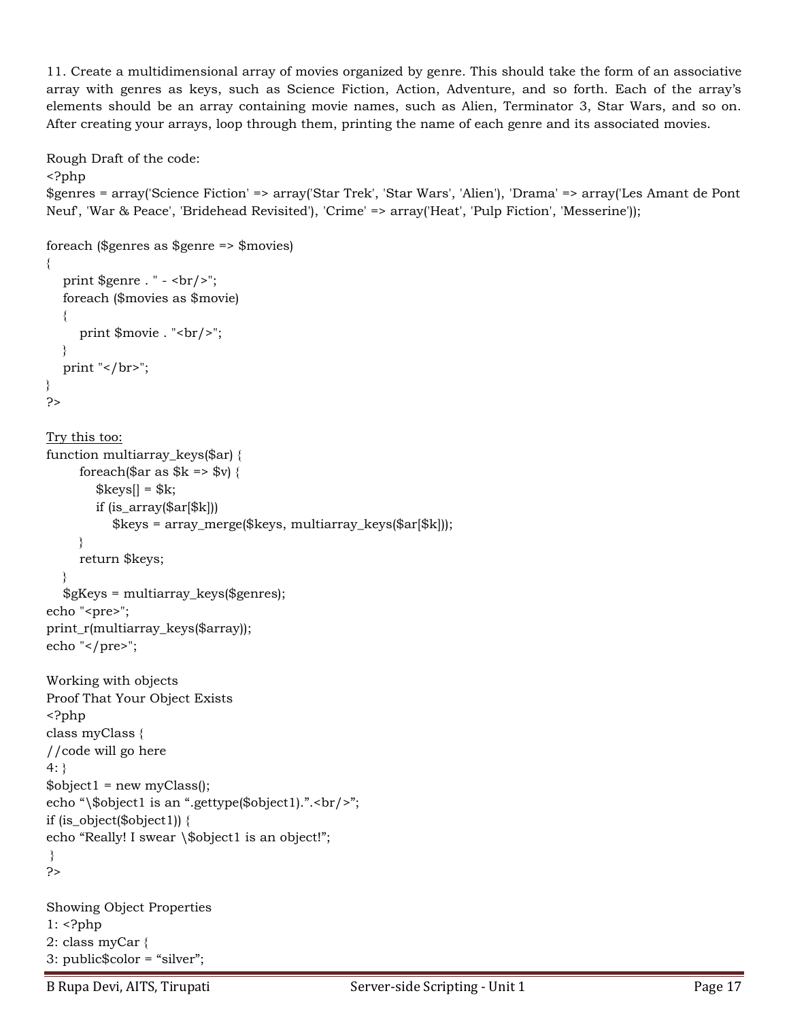11. Create a multidimensional array of movies organized by genre. This should take the form of an associative array with genres as keys, such as Science Fiction, Action, Adventure, and so forth. Each of the array's elements should be an array containing movie names, such as Alien, Terminator 3, Star Wars, and so on. After creating your arrays, loop through them, printing the name of each genre and its associated movies.

```
Rough Draft of the code:
<?php
$genres = array('Science Fiction' => array('Star Trek', 'Star Wars', 'Alien'), 'Drama' => array('Les Amant de Pont 
Neuf', 'War & Peace', 'Bridehead Revisited'), 'Crime' => array('Heat', 'Pulp Fiction', 'Messerine'));
foreach ($genres as $genre => $movies)
{
   print \gamma = . " - <br/> - \cdots - \cdots - \cdots - \cdots - \cdots - \cdots - \cdots - \cdots - \cdots - \cdots - \cdots - \cdots - \cdots - \cdots - \cdots - \cdots - \cdots - \cdots - \cdots - \cdots - \cdots - \cdot
    foreach ($movies as $movie)
    {
      print $movie . "<br/>>br/>";
    }
   print "</br>";
}
?>
Try this too:
function multiarray_keys($ar) {
      foreach($ar as k \geq 0) {
          \frac{8k \text{eys}}{8k};
           if (is_array($ar[$k]))
              $keys = array_merge($keys, multiarray_keys($ar[$k]));
       }
       return $keys;
    }
    $gKeys = multiarray_keys($genres);
echo "<pre>";
print_r(multiarray_keys($array));
echo "</pre>";
Working with objects
Proof That Your Object Exists
<?php
class myClass {
//code will go here
4:}
\text{Sobject1} = \text{new myClass}echo "\$object1 is an ".gettype($object1).".<br/>>br/>";
if (is_object($object1)) {
echo "Really! I swear \$object1 is an object!";
}
?> 
Showing Object Properties 
1: <?php
2: class myCar {
3: public$color = "silver";
```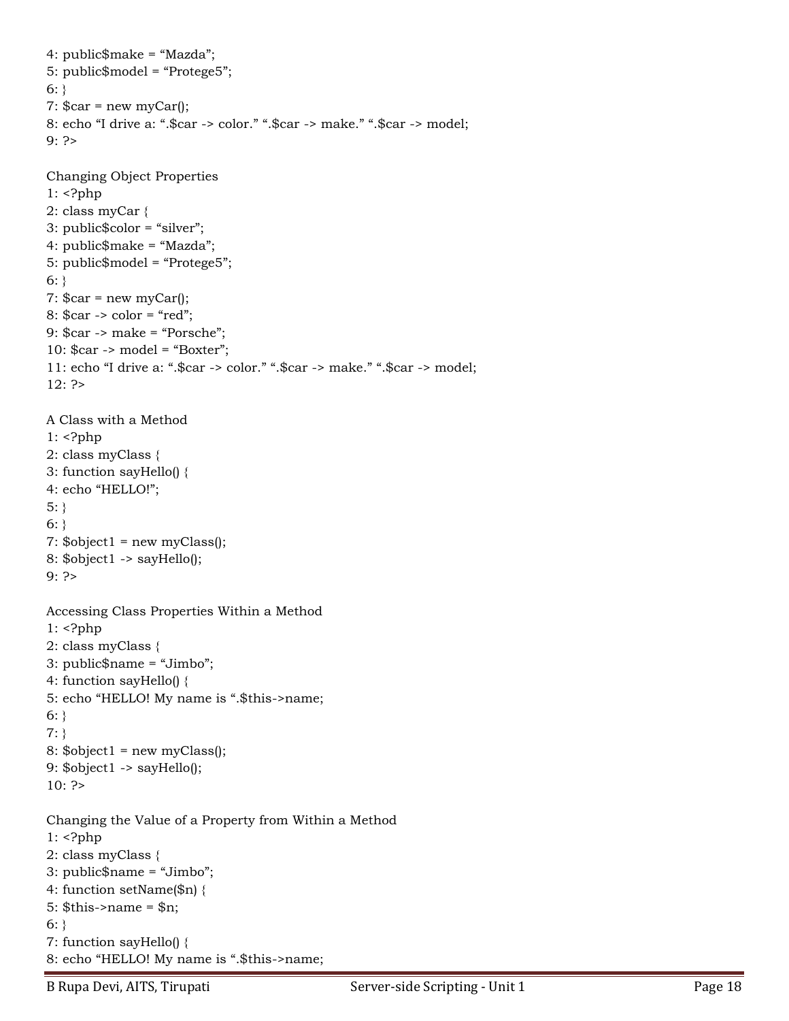```
4: public$make = "Mazda";
5: public$model = "Protege5";
6: \}7: \frac{1}{2}car = new myCar();
8: echo "I drive a: ".$car -> color." ".$car -> make." ".$car -> model;
9: ?> 
Changing Object Properties
1: <?php
2: class myCar {
3: public$color = "silver";
4: public$make = "Mazda";
5: public$model = "Protege5";
6: \}7: \frac{1}{2}car = new myCar();
8: $car -> color = "red";
9: $car -> make = "Porsche";
10: $car -> model = "Boxter";
11: echo "I drive a: ".$car -> color." ".$car -> make." ".$car -> model;
12: ?> 
A Class with a Method 
1: <?php2: class myClass {
3: function sayHello() {
4: echo "HELLO!";
5:}
6: }
7: \deltaobject1 = new myClass();
8: $object1 -> sayHello();
9: ?> 
Accessing Class Properties Within a Method 
1: <?php
2: class myClass {
3: public$name = "Jimbo";
4: function sayHello() {
5: echo "HELLO! My name is ".$this->name;
6: }
7: }
8: \deltaobject1 = new myClass();
9: $object1 -> sayHello();
10: ?>Changing the Value of a Property from Within a Method 
1: <?php
2: class myClass {
3: public$name = "Jimbo";
4: function setName($n) {
5: $this->name = $n;
6: \}7: function sayHello() {
8: echo "HELLO! My name is ".$this->name;
```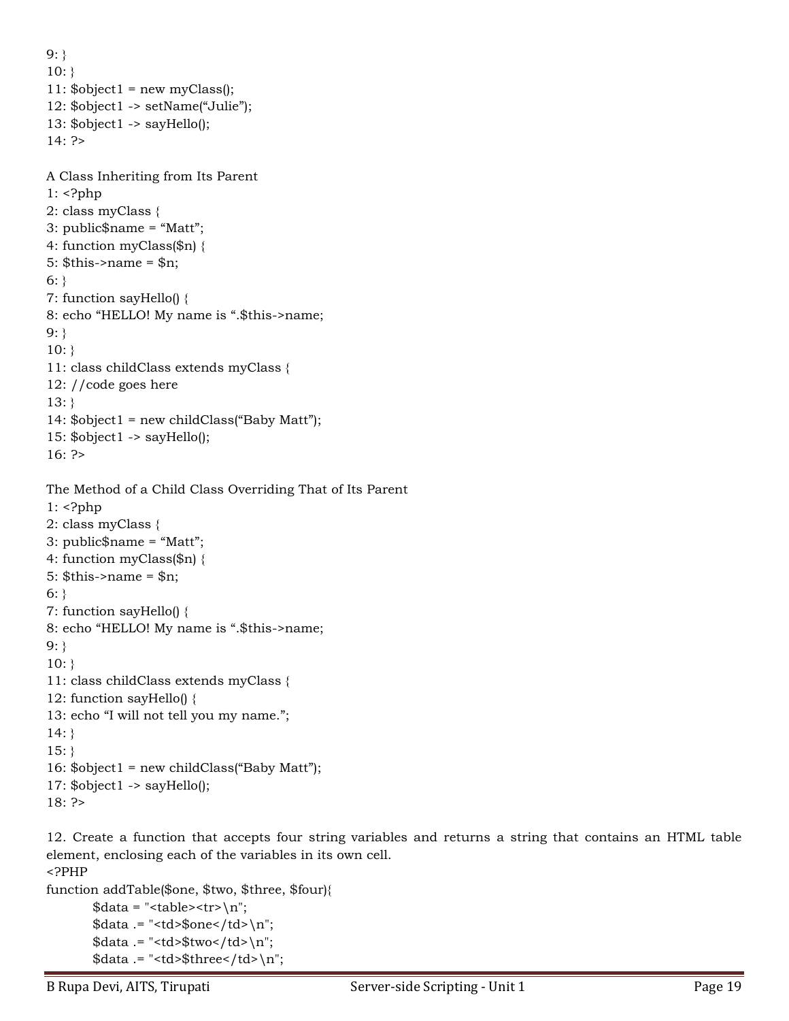```
9: }
10:}
11: \deltaobject1 = new myClass();
12: $object1 -> setName("Julie");
13: $object1 -> sayHello();
14: ?> 
A Class Inheriting from Its Parent 
1: <?php
2: class myClass {
3: public$name = "Matt";
4: function myClass($n) {
5: \thetathis->name = \etan;
6: \}7: function sayHello() {
8: echo "HELLO! My name is ".$this->name;
9: }
10:}
11: class childClass extends myClass {
12: //code goes here
13: }
14: $object1 = new childClass("Baby Matt");
15: $object1 -> sayHello();
16: ?> 
The Method of a Child Class Overriding That of Its Parent 
1: <?php
2: class myClass { 
3: public$name = "Matt";
4: function myClass($n) {
5: $this->name = $n;
6: \}7: function sayHello() {
8: echo "HELLO! My name is ".$this->name;
9: }
10:}
11: class childClass extends myClass {
12: function sayHello() {
13: echo "I will not tell you my name.";
14: }
15:}
16: $object1 = new childClass("Baby Matt");
17: $object1 -> sayHello();
18: ?>
```
12. Create a function that accepts four string variables and returns a string that contains an HTML table element, enclosing each of the variables in its own cell. <?PHP

```
function addTable($one, $two, $three, $four){
       \deltadata = "<table><tr>\n";
```

```
\delta \text{data} .= "<td>\deltaone</td>\n";
\deltadata .= "<td>\deltatwo</td>\n";
\deltadata .= "<td>\deltathree</td>\n";
```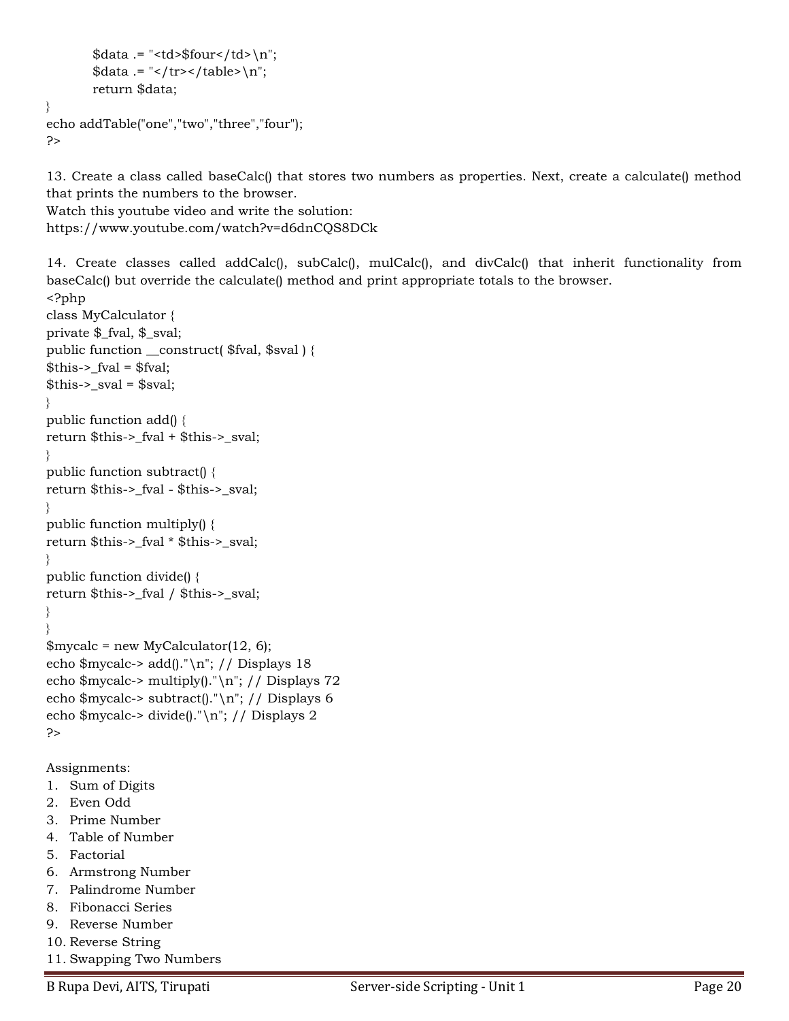```
\delta \text{data} .= "<td>\delta \text{four} \td>\n";
         \deltadata .= "</tr></table>\n";
         return $data;
echo addTable("one","two","three","four");
```
?>

}

13. Create a class called baseCalc() that stores two numbers as properties. Next, create a calculate() method that prints the numbers to the browser.

Watch this youtube video and write the solution: https://www.youtube.com/watch?v=d6dnCQS8DCk

14. Create classes called addCalc(), subCalc(), mulCalc(), and divCalc() that inherit functionality from baseCalc() but override the calculate() method and print appropriate totals to the browser.

```
<?php
class MyCalculator {
private $_fval, $_sval;
public function __construct( $fval, $sval ) {
$this-> [val = $fval;$this->sval = $sval;}
public function add() {
return $this->_fval + $this->_sval;
}
public function subtract() {
return $this->_fval - $this->_sval;
}
public function multiply() {
return $this->_fval * $this->_sval;
}
public function divide() {
return $this->_fval / $this->_sval;
}
}
\gamma $mycalc = new MyCalculator(12, 6);
echo $mycalc-> add()."\n"; // Displays 18
echo $mycalc-> multiply()."\n"; // Displays 72
echo $mycalc-> subtract()."\n"; // Displays 6
echo $mycalc-> divide()."\n"; // Displays 2
?>
```
Assignments:

- 1. Sum of Digits
- 2. Even Odd
- 3. Prime Number
- 4. Table of Number
- 5. Factorial
- 6. Armstrong Number
- 7. Palindrome Number
- 8. Fibonacci Series
- 9. Reverse Number
- 10. Reverse String
- 11. Swapping Two Numbers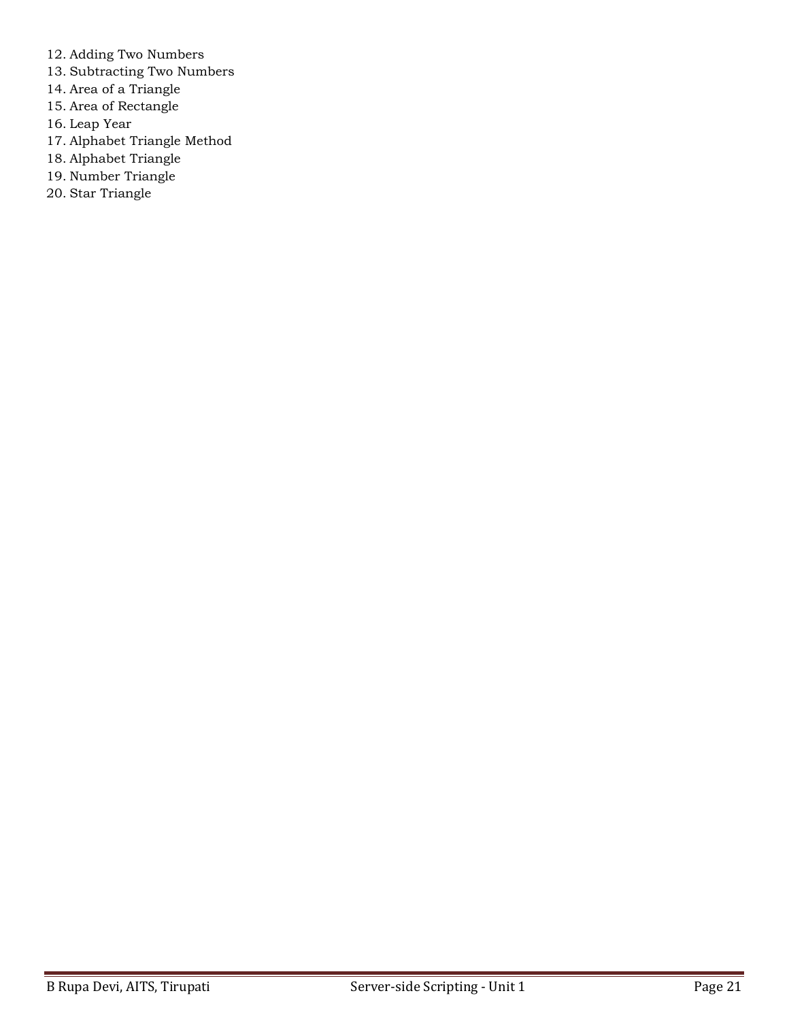- 12. Adding Two Numbers
- 13. Subtracting Two Numbers
- 14. Area of a Triangle
- 15. Area of Rectangle
- 16. Leap Year
- 17. Alphabet Triangle Method
- 18. Alphabet Triangle
- 19. Number Triangle
- 20. Star Triangle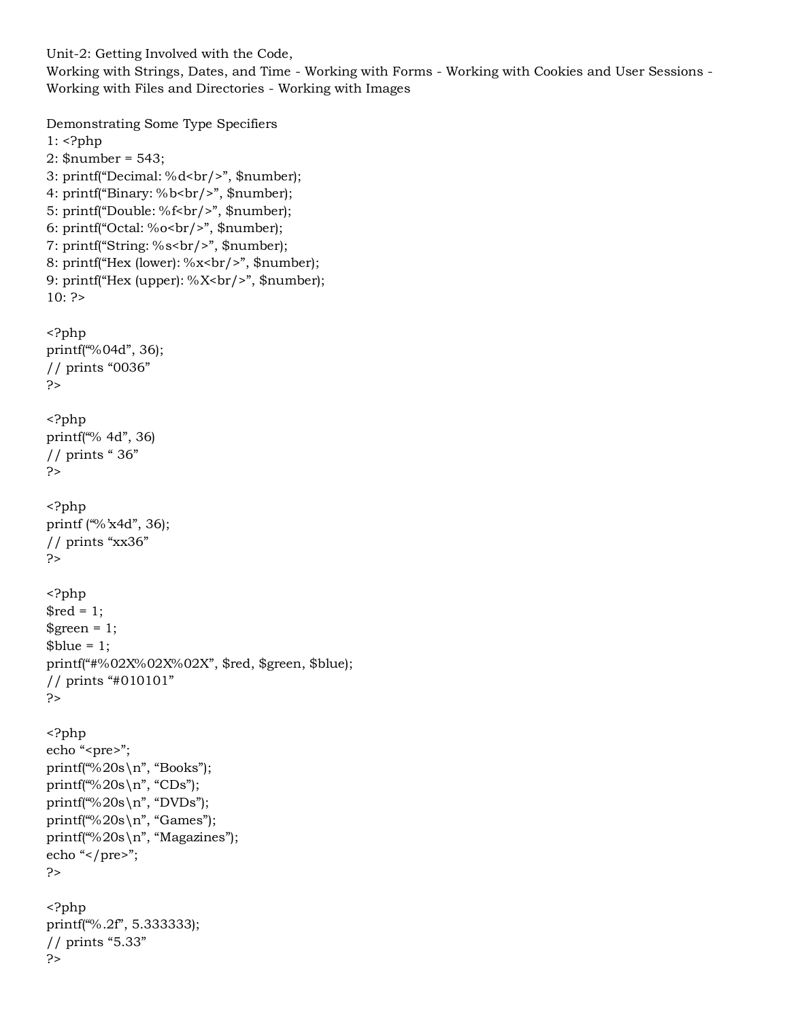Unit-2: Getting Involved with the Code,

Working with Strings, Dates, and Time - Working with Forms - Working with Cookies and User Sessions - Working with Files and Directories - Working with Images

```
Demonstrating Some Type Specifiers
1: <?php
2: $number = 543;
3: printf("Decimal: %d<br/>shr/>", $number);
4: printf("Binary: %b<br/>>br/>", $number);
5: printf("Double: %f<br/>shr/>", $number);
6: printf("Octal: %o<br>&gt;br/>", $number);
7: printf("String: %s<br/>shr/>", $number);
8: printf("Hex (lower): %x<br/>shamptor);
9: printf("Hex (upper): %X she /", $number);
10: ?><?php
printf("%04d", 36);
// prints "0036"
?>
<?php
printf("% 4d", 36)
// prints " 36"
?>
<?php
printf ("%'x4d", 36);
// prints "xx36"
?>
<?php
$red = 1;\text{green} = 1;
$blue = 1;printf("#%02X%02X%02X", $red, $green, $blue);
// prints "#010101"
?>
<?php
echo "<pre>";
printf("%20s\n", "Books");
printf("%20s\n", "CDs");
printf("%20s\n", "DVDs");
printf("%20s\n", "Games");
printf("%20s\n", "Magazines");
echo "</pre>";
?>
<?php
printf("%.2f", 5.333333);
// prints "5.33"
?>
```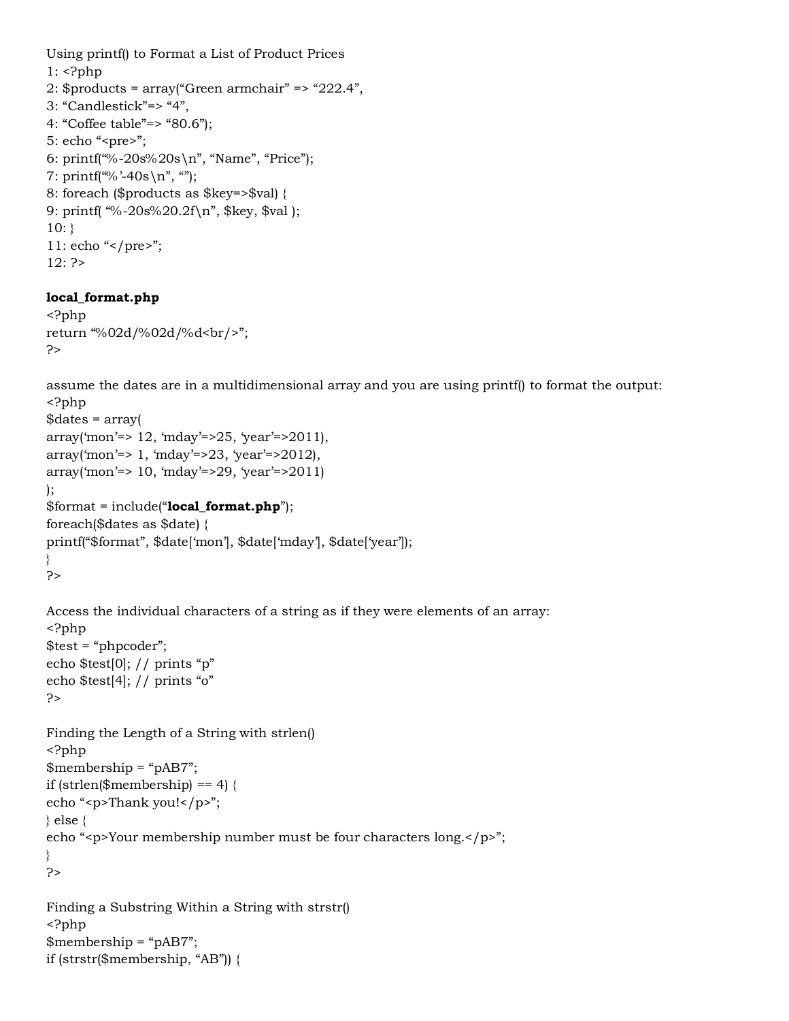```
Using printf() to Format a List of Product Prices
1: <?php
2: $products = array("Green armchair" => "222.4",3: "Candlestick"=> "4",
4: "Coffee table"=> "80.6");
5: echo "<pre>";
6: printf("%-20s%20s\n", "Name", "Price");
7: printf("%'-40s\n", "");
8: foreach ($products as $key=>$val) {
9: printf( "%-20s%20.2f\n", $key, $val );
10:}
11: echo "</pre>";
12: ?>
```
## **local\_format.php**

```
<?php
return "%02d/%02d/%d<br/>";
?>
```
assume the dates are in a multidimensional array and you are using printf() to format the output: <?php

```
$dates = array(
array('mon'=> 12, 'mday'=>25, 'year'=>2011),
array('mon'=> 1, 'mday'=>23, 'year'=>2012),
array('mon'=> 10, 'mday'=>29, 'year'=>2011)
);
$format = include("local_format.php");
foreach($dates as $date) {
printf("$format", $date['mon'], $date['mday'], $date['year']);
}
?>
Access the individual characters of a string as if they were elements of an array:
<?php
$test = "phpcoder";
echo $test[0]; // prints "p"
echo $test[4]; // prints "o"
?>
Finding the Length of a String with strlen()
<?php
$membership = "pAB7";
if (strlen($membership) == 4) {
echo "<p>Thank you!</p>";
} else {
echo "<p>Your membership number must be four characters long.</p>";
}
?>
Finding a Substring Within a String with strstr()
<?php
$membership = "pAB7";
```

```
if (strstr($membership, "AB")) {
```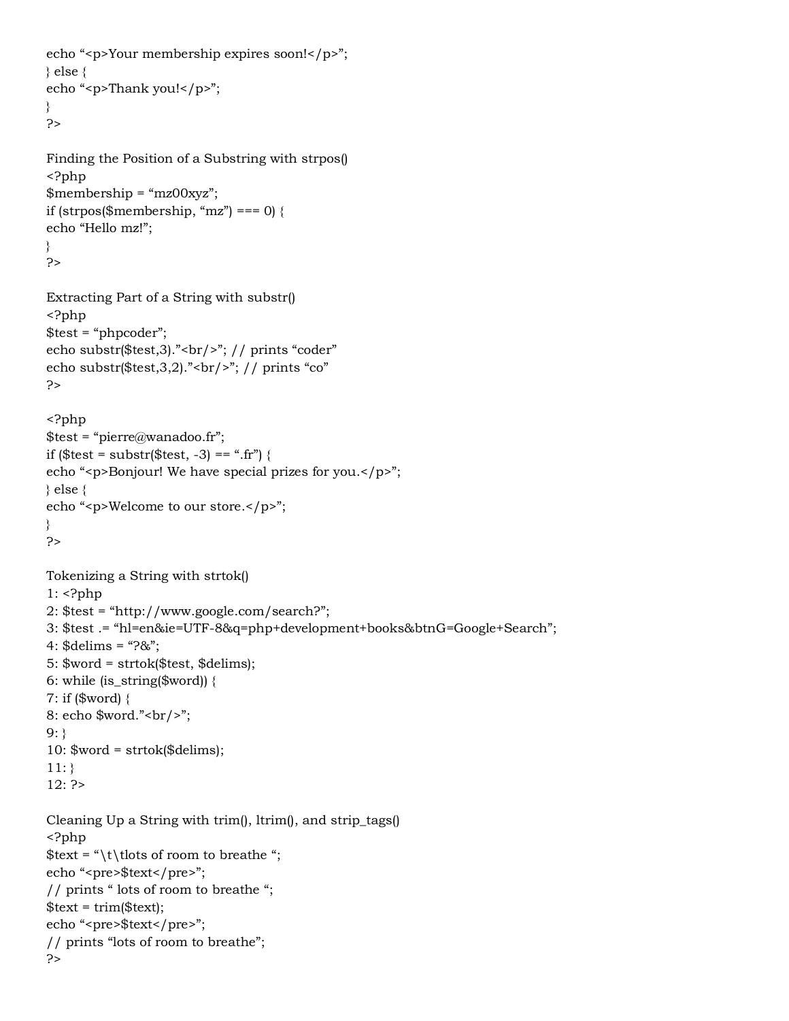```
echo "<p>Your membership expires soon!</p>";
} else {
echo "<p>Thank you!</p>";
}
?>
Finding the Position of a Substring with strpos()
<?php
$membership = "mz00xyz";if (strpos($membership, "mz") === 0) {
echo "Hello mz!";
}
?>
Extracting Part of a String with substr()
<?php
$test = "phpcoder";
echo substr($test,3)."<br/>"; // prints "coder"
echo substr(\$test, 3, 2)."<br/>>br/>"; // prints "co"
?>
<?php
$test = "pierre@wanadoo.fr";if ($test = substr($test, -3) == ".fr") {
echo "<p>Bonjour! We have special prizes for you.</p>";
} else {
echo "<p>Welcome to our store.</p>";
}
?>
Tokenizing a String with strtok()
1: <?php
2: $test = "http://www.google.com/search?";
3: $test .= "hl=en&ie=UTF-8&q=php+development+books&btnG=Google+Search";
4: \deltadelims = "?&";
5: $word = strtok($test, $delims);
6: while (is_string($word)) {
7: if ($word) {
8: echo \sqrt{2} = 8: echo \sqrt{2} = 8: echo \sqrt{2} = 8: echo \sqrt{2} = 8: echo \sqrt{2} = 8: echo \sqrt{2} = 8: echo \sqrt{2} = 8: echo \sqrt{2} = 8: echo \sqrt{2} = 8: echo \sqrt{2} = 8: echo \sqrt{2} = 8: echo \sqrt{2} = 8: ec
9: }
10: $word = strtok($delims);
11:}
12: ?>
Cleaning Up a String with trim(), ltrim(), and strip_tags()
<?php
\text{first} = \text{t}\t{t} of room to breathe ";
echo "<pre>$text</pre>";
// prints " lots of room to breathe ";
$text = trim($text);echo "<pre>$text</pre>";
// prints "lots of room to breathe";
?>
```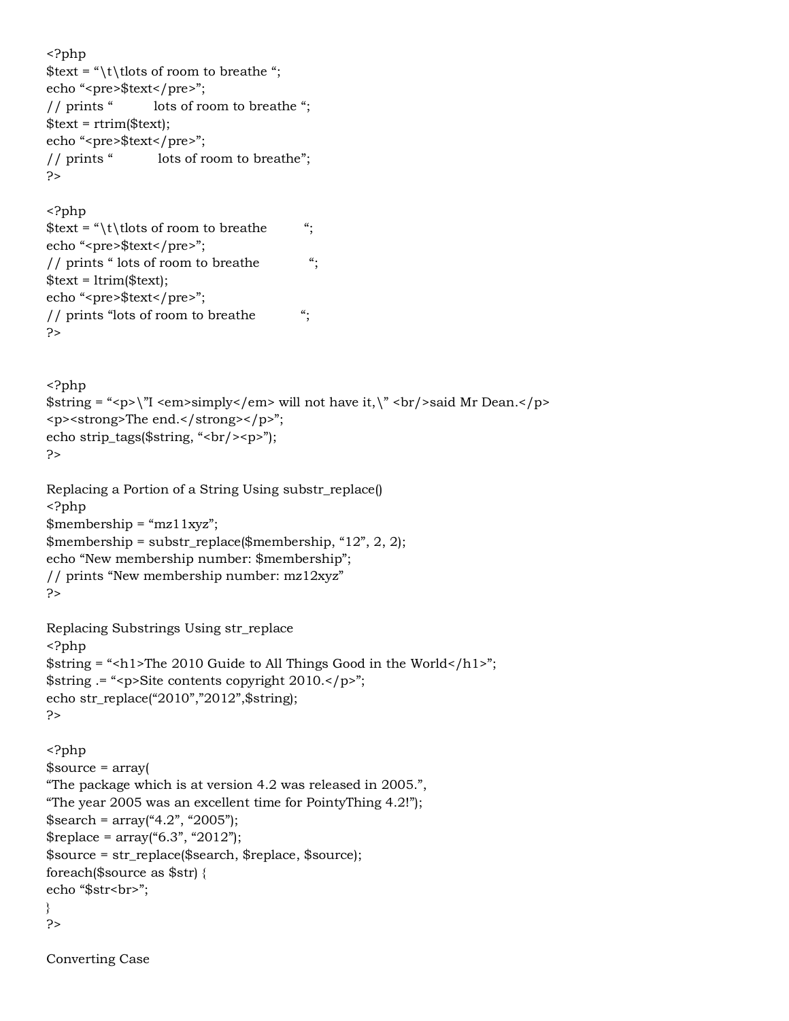```
<?php
$text = "\t\tlots of room to breathe ";
echo "<pre>$text</pre>";
// prints " lots of room to breathe ";
$text = rtrim($text);echo "<pre>$text</pre>";
// prints " lots of room to breathe";
?>
<?php
$text = "\\t\t) that the set of room to breath the set of room to breath the set of set of set of set of set of set of set of set of set of set of set of set of set of set of set of set of set of set of set of set of set of s
echo "<pre>$text</pre>";
// prints " lots of room to breathe ";
$text = 1trim($text);echo "<pre>$text</pre>";
// prints "lots of room to breathe ";
?>
<?php
$string = "<p>\gamma" <em>simply</em> will not have it,\gamma <br/> <br/>>br/>said Mr Dean.</p>
<p><strong>The end.</strong></p>";
echo strip_tags($string, "br/>>p>");
?>
Replacing a Portion of a String Using substr_replace()
<?php
$membership = "mz11xyz";$membership = substr_replace($membership, "12", 2, 2);
echo "New membership number: $membership";
// prints "New membership number: mz12xyz"
?>
Replacing Substrings Using str_replace
<?php
$string = "<h1>The 2010 Guide to All Things Good in the World </math>$string .= "<p>Site contents copyright 2010.</p>";
echo str_replace("2010","2012",$string);
?>
<?php
$source = array(
"The package which is at version 4.2 was released in 2005.",
"The year 2005 was an excellent time for PointyThing 4.2!");
$search = array("4.2", "2005");$replace = array("6.3", "2012");$source = str_replace($search, $replace, $source);
foreach($source as $str) {
echo "$str<br>";
}
?>
```
Converting Case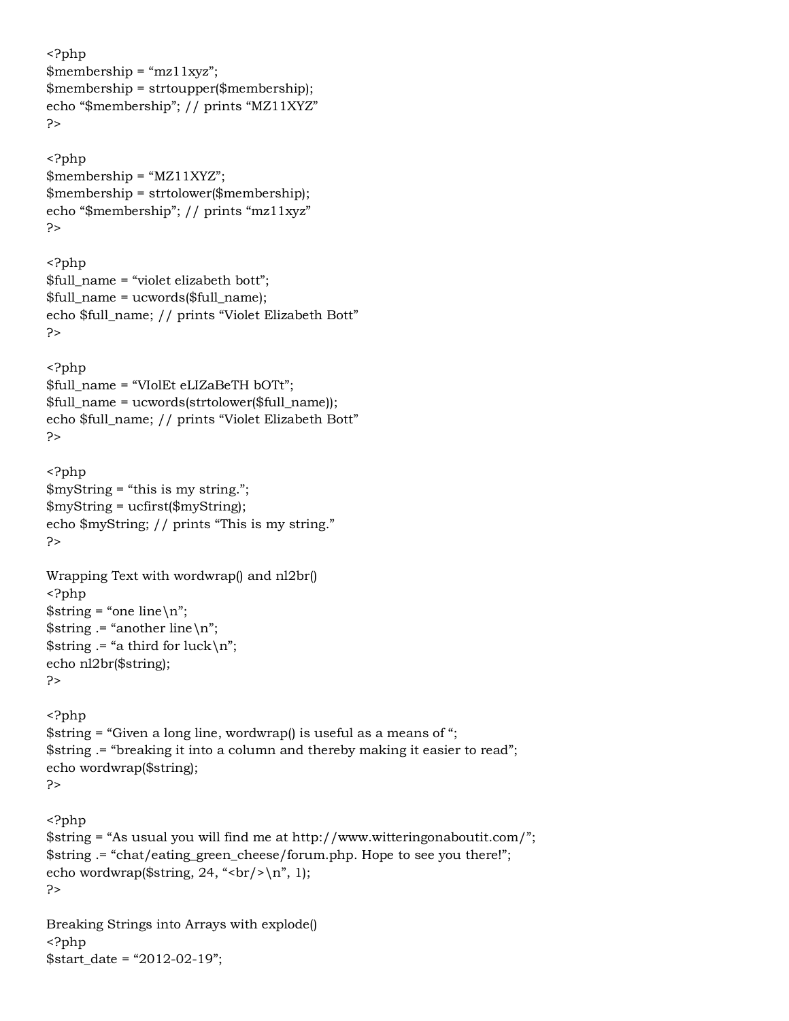```
<?php
$membership = "mz11xyz";$membership = strtoupper($membership);
echo "$membership"; // prints "MZ11XYZ"
?>
<?php
$membership = "MZ11XYZ";
$membership = strtolower($membership);
echo "$membership"; // prints "mz11xyz"
?>
<?php
$full_name = "violet elizabeth bott";
$full_name = ucwords($full_name);
echo $full_name; // prints "Violet Elizabeth Bott"
?>
<?php
$full_name = "VIolEt eLIZaBeTH bOTt";
$full_name = ucwords(strtolower($full_name));
echo $full_name; // prints "Violet Elizabeth Bott"
P<?php
$myString = "this is my string.";
$myString = ucfirst($myString);
echo $myString; // prints "This is my string."
?>
Wrapping Text with wordwrap() and nl2br()
<?php
$string = "one line \n";
$string = "another line \n",
$string = "a third for luck\n";
echo nl2br($string);
?>
<?php
$string = "Given a long line, wordwrap() is useful as a means of ";
$string .= "breaking it into a column and thereby making it easier to read";
echo wordwrap($string);
?>
<?php
$string = "As usual you will find me at http://www.witteringonaboutit.com/";
$string .= "chat/eating_green_cheese/forum.php. Hope to see you there!";
echo wordwrap(\frac{\sinh(24, \frac{\pi}{\pi})}{\sinh(1)};
?>
Breaking Strings into Arrays with explode()
<?php
```
 $$start$  date = "2012-02-19";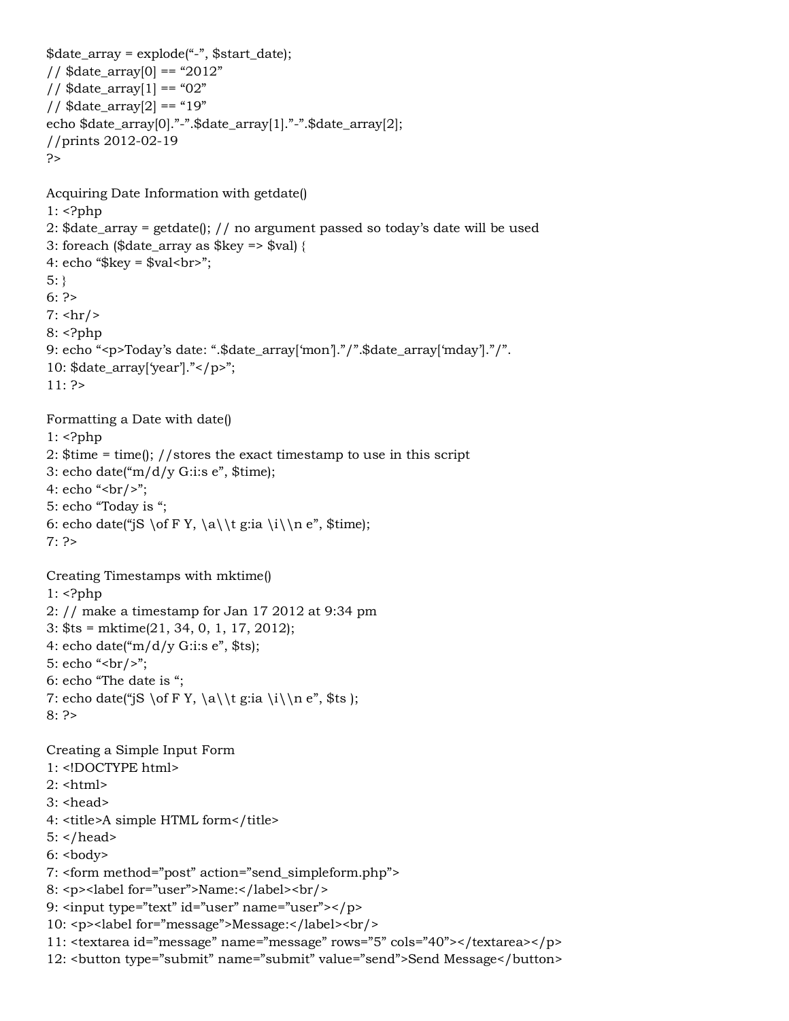```
$date_array = explode("-", $start_date);
// $date_array[0] == "2012"
1/ $date_array[1] == "02"
1/ $date_array[2] == "19"echo $date_array[0]."-".$date_array[1]."-".$date_array[2];
//prints 2012-02-19
?>
Acquiring Date Information with getdate()
1: <?php
2: $date_array = getdate(); // no argument passed so today's date will be used
3: foreach ($date_array as $key => $val) {
4: echo "\frac{1}{2}key = \frac{1}{2}val < br>";
5: }
6: ?>7: \text{hr/s}8: <?php
9: echo "<p>Today's date: ".$date_array['mon']."/".$date_array['mday']."/".
10: $date_array['year']."</p>";
11: ?>
Formatting a Date with date()
1: <?php
2: $time = time(); //stores the exact timestamp to use in this script
3: echo date("m/d/y G:i:s e", $time);
4: echo "<br/>>br/>";
5: echo "Today is ";
6: echo date("jS \of F Y, \a\\t g:ia \i\\n e", $time);
7: ?>Creating Timestamps with mktime()
1: <?php
2: // make a timestamp for Jan 17 2012 at 9:34 pm
3: $ts = mktime(21, 34, 0, 1, 17, 2012);
4: echo date("m/d/y G:i:s e", $ts);
5: echo "<br/> />";
6: echo "The date is ";
7: echo date("jS \of F Y, \a\\t g:ia \i\\n e", $ts );
8: ?>
Creating a Simple Input Form 
1: <!DOCTYPE html>
2: <html>
3: <head>
4: <title>A simple HTML form</title>
5: </head>
6: <b>body</b>7: <form method="post" action="send_simpleform.php">
8: <p><label for="user">Name:</label><br/>>hr/>
9: <input type="text" id="user" name="user"></p>
10: <p><label for="message">Message:</label><br/>
11: <textarea id="message" name="message" rows="5" cols="40"></textarea></p>
12: <button type="submit" name="submit" value="send">Send Message</button>
```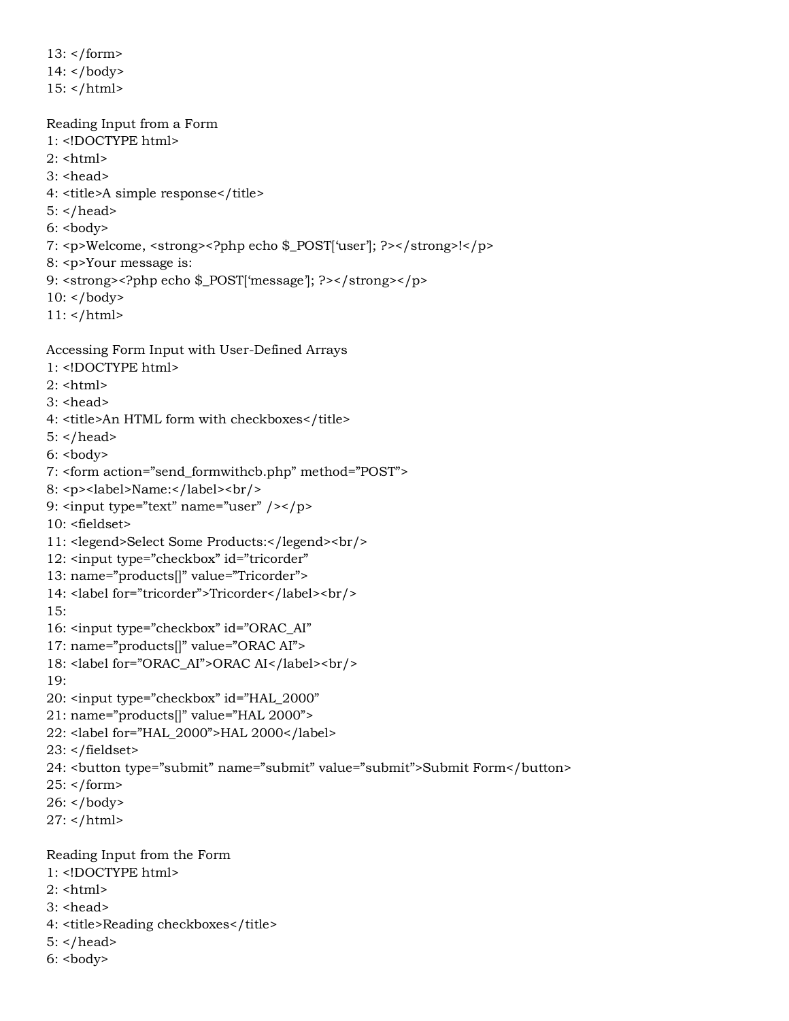13: </form> 14: </body>  $15:$  </html>

Reading Input from a Form 1: <!DOCTYPE html>  $2:$  <html>  $3:$  <head> 4: <title>A simple response</title>  $5:$  </head>  $6: **body**$ 7: <p>Welcome, <strong><?php echo \$\_POST['user']; ?></strong>!</p> 8: <p>Your message is: 9: <strong><?php echo \$\_POST['message']; ?></strong></p> 10: </body>

11: </html>

Accessing Form Input with User-Defined Arrays

- 1: <!DOCTYPE html>
- $2:$  <html>
- $3:$  <head>
- 4: <title>An HTML form with checkboxes</title>
- $5:$
- $6: <$ body>

```
7: <form action="send_formwithcb.php" method="POST">
```
- 8: <p><label>Name:</label><br/><br/>
- 9: <input type="text" name="user" /></p>
- 10: <fieldset>
- 11: <legend>Select Some Products:</legend><br/>
- 12: <input type="checkbox" id="tricorder"
- 13: name="products[]" value="Tricorder">
- 14: <label for="tricorder">Tricorder</label><br/>>br/>

```
15:
```
- 16: <input type="checkbox" id="ORAC\_AI"
- 17: name="products[]" value="ORAC AI">
- 18: <label for="ORAC\_AI">ORAC AI</label><br/>
- 19:
- 20: <input type="checkbox" id="HAL\_2000"
- 21: name="products[]" value="HAL 2000">
- 22: <label for="HAL\_2000">HAL 2000</label>
- 23: </fieldset>
- 24: <button type="submit" name="submit" value="submit">Submit Form</button>
- 25: </form>
- $26:$  </body>
- $27:$  </html>

Reading Input from the Form

- 1: <!DOCTYPE html>
- $2:$  <html>
- 3: <head>
- 4: <title>Reading checkboxes</title>
- $5:$  </head>
- $6: **body**$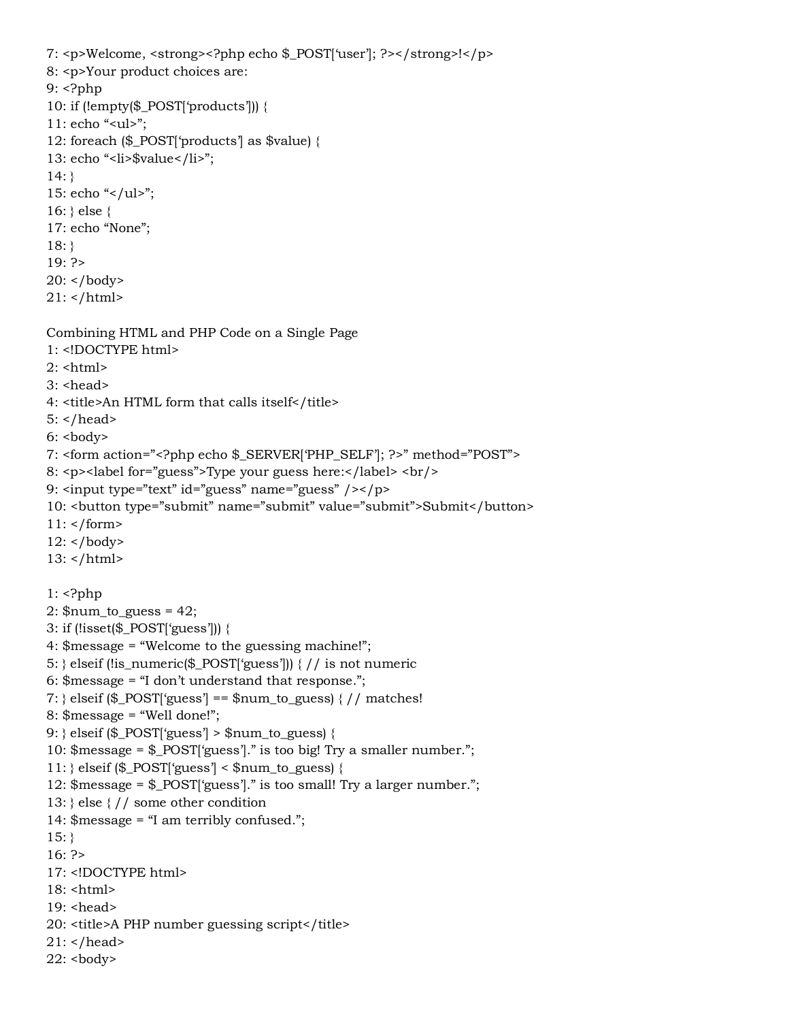```
7: <p>Welcome, <strong><?php echo $_POST['user']; ?></strong>!</p>
8: <p>Your product choices are:
9: <?php
10: if (!empty($_POST['products'])) {
11: echo "<ul>";
12: foreach ($_POST['products'] as $value) {
13: echo "<li>$value</li>";
14: }
15: echo "\langleul>";
16: } else {
17: echo "None";
18: }
19: ?>
20: </body>
21: </html>
Combining HTML and PHP Code on a Single Page
1: <!DOCTYPE html>
2: <html>
3: <head>
4: <title>An HTML form that calls itself</title>
5: </head>
6: <b>body</b>7: <form action="<?php echo $_SERVER['PHP_SELF']; ?>" method="POST">
8: <p><label for="guess">Type your guess here:</label> <br/> <br/>ht>
9: <input type="text" id="guess" name="guess" /></p>
10: <button type="submit" name="submit" value="submit">Submit</button>
11: </form>
12: </body>
13: </html>
1: <?php
2: $num_to_guess = 42;
3: if (!isset($_POST['guess'])) {
4: $message = "Welcome to the guessing machine!";
5: } elseif (!is_numeric($_POST['guess'])) { // is not numeric
6: $message = "I don't understand that response.";
7: } elseif ($_POST['guess'] == $num_to_guess) {\frac{\pi}{4} matches!
8: $message = "Well done!";
9: } elseif ($_POST['guess'] > $num_to_guess) {
10: $message = $_POST['guess']." is too big! Try a smaller number.";
11: } elseif ($_POST['guess'] < $num_to_guess) {
12: $message = $_POST['guess']." is too small! Try a larger number.";
13: } else { // some other condition
14: $message = "I am terribly confused.";
15:}
16: ?>
17: <!DOCTYPE html>
18: <html>
19: <head>
20: <title>A PHP number guessing script</title>
21: </head>
22: <body>
```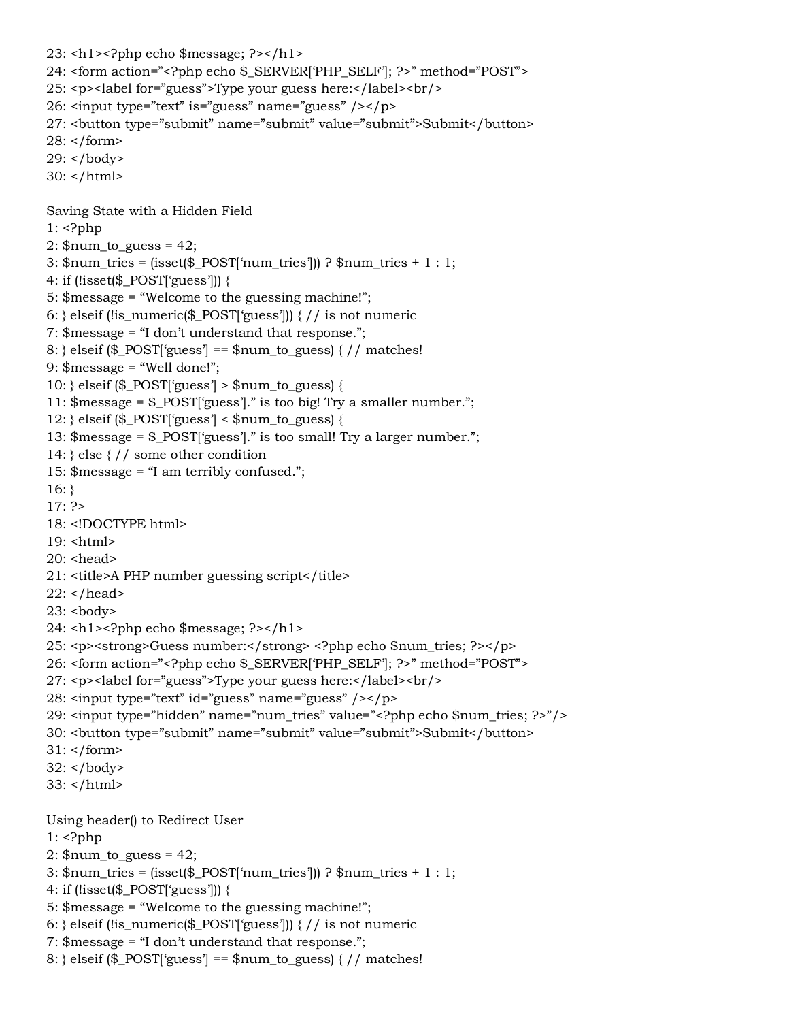```
23: <h1><?php echo $message; ?></h1>
24: <form action="<?php echo $_SERVER['PHP_SELF']; ?>" method="POST">
25: <p><label for="guess">Type your guess here:</label><br/>>br/>
26: <input type="text" is="guess" name="guess" /></p>
27: <button type="submit" name="submit" value="submit">Submit</button>
28: </form>
29: </body>
30: </html>
Saving State with a Hidden Field
1: <?php
2: \text{\$num_to_guess} = 42;3: $num_tries = (isset($_POST['num_tries'])) ? $num_tries + 1 : 1;
4: if (!isset($_POST['guess'])) {
5: $message = "Welcome to the guessing machine!";
6: } elseif (!is_numeric($_POST['guess'])) { // is not numeric
7: $message = "I don't understand that response.";
8: { elseif ($ POST['guess'] == $num_to_guess) { // matches!
9: $message = "Well done!";
10: } elseif ($_POST['guess'] > $num_to_guess) {
11: $message = $_POST['guess']." is too big! Try a smaller number.";
12: } elseif ($_POST\gammaguess'\gamma < $num_to_guess) {
13: $message = $_POST['guess']." is too small! Try a larger number.";
14: } else { // some other condition
15: $message = "I am terribly confused.";
16:}
17: ?>18: <!DOCTYPE html>
19: \text{thm}20: <head>
21: <title>A PHP number guessing script</title>
22: </head>
23: <br/>body>
24: <h1><?php echo $message; ?></h1>
25: <p><strong>Guess number:</strong> <?php echo $num_tries; ?></p>
26: <form action="<?php echo $_SERVER['PHP_SELF']; ?>" method="POST">
27: <p><label for="guess">Type your guess here:</label><br/>
28: <input type="text" id="guess" name="guess" /></p>
29: <input type="hidden" name="num_tries" value="<?php echo $num_tries; ?>"/>
30: <button type="submit" name="submit" value="submit">Submit</button>
31: </form>
32: </body>
33: </htmlUsing header() to Redirect User
1: \langle?php
2: \text{\$num_to_guess} = 42;3: \text{\$num\_tries} = \frac{\$exp(S_POST)[\text{num\_tries}]}{? \text{Sum\_tries} + 1 : 1;4: if (!isset($_POST['guess'])) {
```

```
5: $message = "Welcome to the guessing machine!";
```

```
6: } elseif (!is_numeric($_POST['guess'])) \frac{1}{1} is not numeric
```

```
7: $message = "I don't understand that response.";
```

```
8: { elseif ($_POST['guess'] == $num_to_guess) { // matches!
```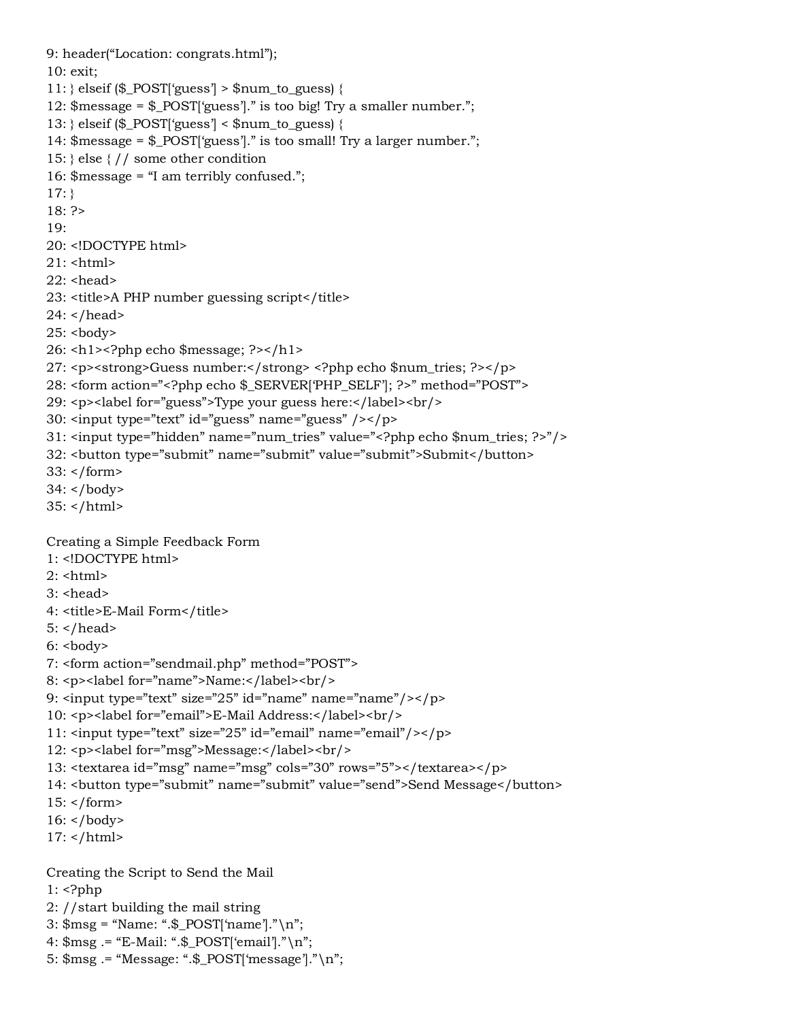```
9: header("Location: congrats.html");
10: exit;
11: } elseif ($_POST\gamma'guess'\gamma > $num_to_guess) {
12: $message = $_POST['guess']." is too big! Try a smaller number.";
13: } elseif ($_POST['guess'] < $num_to_guess) {
14: $message = $_POST['guess']." is too small! Try a larger number.";
15: } else { // some other condition
16: $message = "I am terribly confused.";
17:}
18: ?>
19:
20: <!DOCTYPE html>
21: <html>
22 \cdot <head>
23: <title>A PHP number guessing script</title>
24: </head>
25: <body>26: \text{th} > \text{2}?php echo $message; ? > \text{th} >
27: <p><strong>Guess number:</strong> <?php echo $num_tries; ?></p>
28: <form action="<?php echo $_SERVER['PHP_SELF']; ?>" method="POST">
29: <p><label for="guess">Type your guess here:</label><br/>
30: <input type="text" id="guess" name="guess" /></p>
31: <input type="hidden" name="num_tries" value="<?php echo $num_tries; ?>"/>
32: <button type="submit" name="submit" value="submit">Submit</button>
33: </form>
34: </body>
35: </html>
Creating a Simple Feedback Form
1: <!DOCTYPE html>
2: <html>
3: <head>
4: <title>E-Mail Form</title>
5: </head>
6: <body>7: <form action="sendmail.php" method="POST">
8: <p><label for="name">Name:</label><br/>>hr/>
9: \epsiloninput type="text" size="25" id="name" name="name"/>\epsilon/p>
10: <p><label for="email">E-Mail Address:</label><br/><br/>
11: <input type="text" size="25" id="email" name="email"/></p>
12: <p><label for="msg">Message:</label><br/>>br/>
13: <textarea id="msg" name="msg" cols="30" rows="5"></textarea></p>
14: <br />button type="submit" name="submit" value="send">Send Message</button>
15: </form>
16: </body>
17: </html>
Creating the Script to Send the Mail
1: \langle?php
2: //start building the mail string
3: $msg = "Name: ".$_POST['name']."\n";
```
4: \$msg .= "E-Mail: ".\$\_POST['email']."\n"; 5: \$msg .= "Message: ".\$\_POST['message']."\n";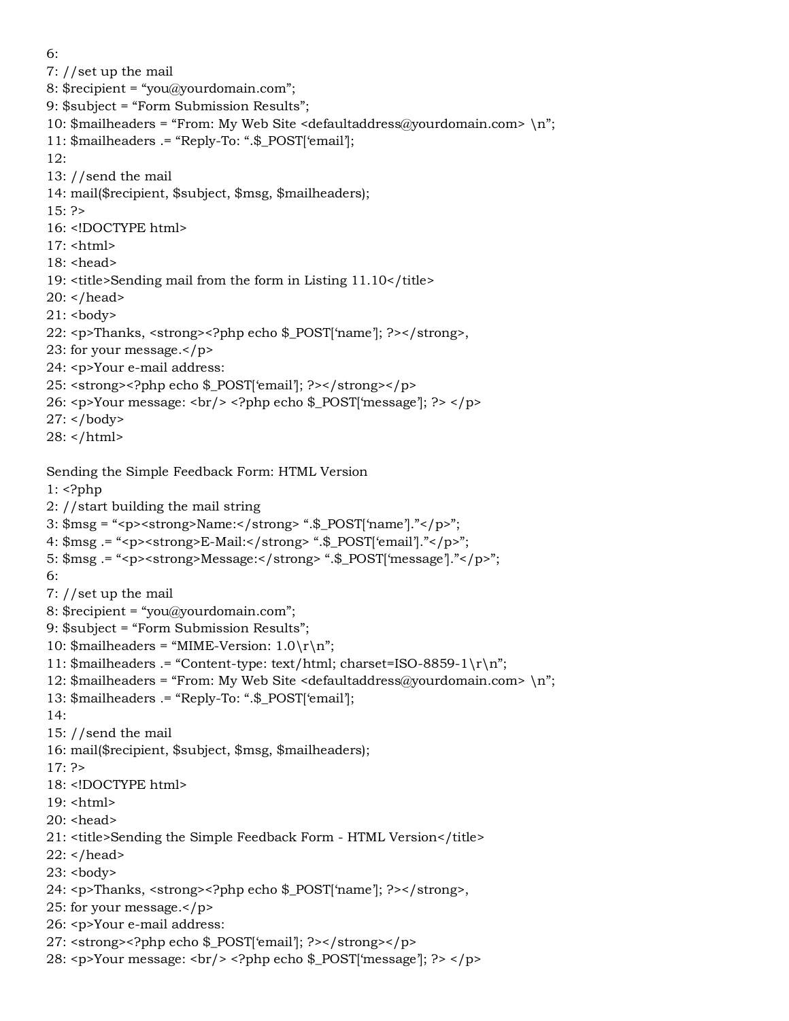6:

7: //set up the mail

8: \$recipient = "you@yourdomain.com";

9: \$subject = "Form Submission Results";

- 10:  $\frac{10}{2}$  mailheaders = "From: My Web Site <defaultaddress@yourdomain.com> \n";
- 11: \$mailheaders .= "Reply-To: ".\$\_POST['email'];

12:

- 13: //send the mail
- 14: mail(\$recipient, \$subject, \$msg, \$mailheaders);
- $15: ?>$
- 16: <!DOCTYPE html>
- $17:$  <html>
- 18: <head>
- 19: <title>Sending mail from the form in Listing 11.10</title>
- 20: </head>
- $21:$
- 22: <p>Thanks, <strong><?php echo \$\_POST['name']; ?></strong>,
- 23: for your message.</p>
- 24: <p>Your e-mail address:
- 25: <strong><?php echo \$\_POST['email']; ?></strong></p>
- 26: <p>Your message: <br/> <?php echo \$\_POST['message']; ?> </p>
- $27:$  </body>
- 28: </html>

Sending the Simple Feedback Form: HTML Version

 $1:$   $\langle$ ?php

- 2: //start building the mail string
- 3: \$msg = "<p><strong>Name:</strong> ".\$\_POST['name']."</p>";
- 4: \$msg .= "<p><strong>E-Mail:</strong> ".\$\_POST['email']."</p>";
- 5: \$msg .= "<p><strong>Message:</strong> ".\$\_POST['message']."</p>";
- 6:
- 7: //set up the mail
- 8: \$recipient = "you@yourdomain.com";
- 9: \$subject = "Form Submission Results";
- 10:  $\text{Smailheads} = \text{MIME-Version: } 1.0 \r \n\rightharpoonup;$
- 11: \$mailheaders .= "Content-type: text/html; charset=ISO-8859-1 $\rm\{r\}n$ ";
- 12: \$mailheaders = "From: My Web Site <defaultaddress@yourdomain.com> \n";
- 13: \$mailheaders .= "Reply-To: ".\$\_POST['email'];
- 14:
- 15: //send the mail
- 16: mail(\$recipient, \$subject, \$msg, \$mailheaders);

17: ?>

- 18: <!DOCTYPE html>
- 19: <html>
- 20: <head>
- 21: <title>Sending the Simple Feedback Form HTML Version</title>
- $22:$  </head>
- $23:$
- 24: <p>Thanks, <strong><?php echo \$\_POST['name']; ?></strong>,
- 25: for your message.</p>
- 26: <p>Your e-mail address:
- 27: <strong><?php echo \$\_POST['email']; ?></strong></p>
- 28: <p>Your message: <br/> <br/> <>>> </pp> echo \$\_POST['message']; ?> </p>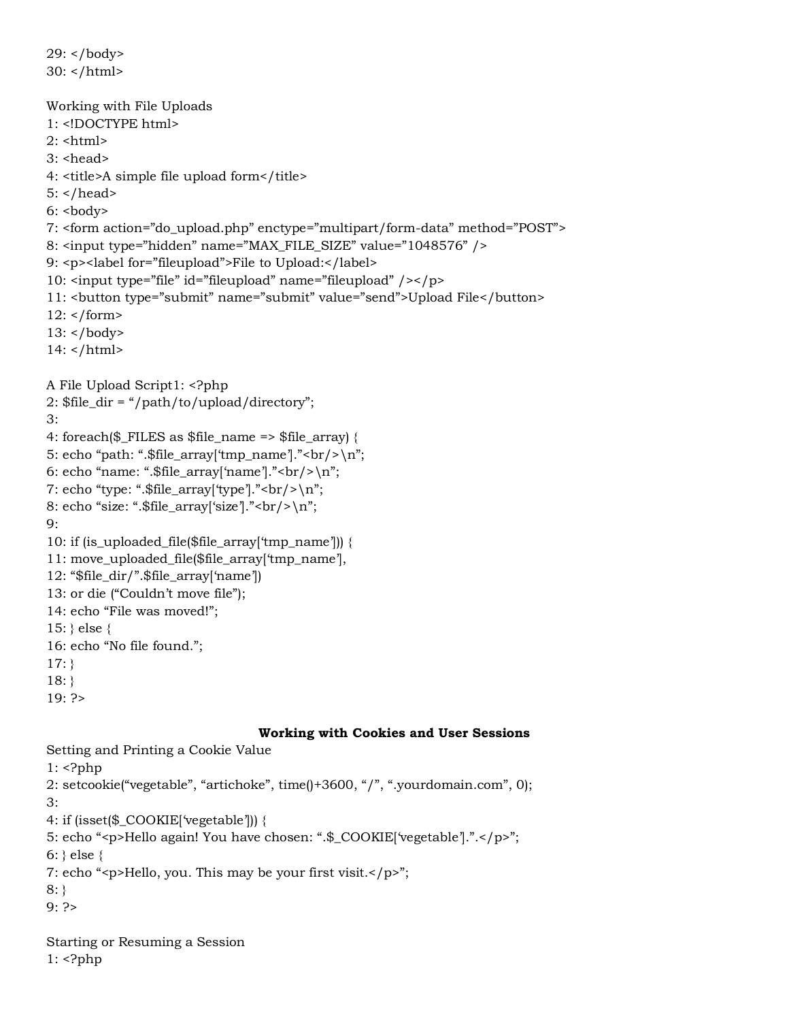```
29: </body>
30: </html>
Working with File Uploads
1: <!DOCTYPE html>
2 \cdot <html>
3: <head>
4: <title>A simple file upload form</title>
5: </head>
6: <b>body</b>7: <form action="do_upload.php" enctype="multipart/form-data" method="POST">
8: <input type="hidden" name="MAX_FILE_SIZE" value="1048576" />
9: <p><label for="fileupload">File to Upload:</label>
10: <input type="file" id="fileupload" name="fileupload" /></p>
11: <button type="submit" name="submit" value="send">Upload File</button>
12: </form13: </body>
14: </html>
A File Upload Script1: <?php
2: $file_dir = "/path/to/upload/directory";
3:
4: foreach($_FILES as $file_name => $file_array) {
5: echo "path: ".$file_array['tmp_name']."<br/>\rally'.
6: echo "name: ".$file_array['name']."<br/>br/>\n";
7: echo "type: ".$file_array['type']."<br/>\rand/';
8: echo "size: ".$file_array['size']."<br/>>br/>\n";
9:
10: if (is_uploaded_file($file_array['tmp_name'])) {
11: move_uploaded_file($file_array['tmp_name'],
12: "$file_dir/".$file_array['name'])
13: or die ("Couldn't move file");
14: echo "File was moved!";
15: } else {
16: echo "No file found.";
17: }
18: }
19: ?>
                                  Working with Cookies and User Sessions
```
Setting and Printing a Cookie Value

 $1:$   $\langle$ ?php

2: setcookie("vegetable", "artichoke", time()+3600, "/", ".yourdomain.com", 0); 3:

4: if (isset(\$\_COOKIE['vegetable'])) {

5: echo "<p>Hello again! You have chosen: ".\$\_COOKIE['vegetable'].".</p>";

 $6:$  } else {

7: echo "<p>Hello, you. This may be your first visit.</p>";

8: }

9: ?>

Starting or Resuming a Session 1: <?php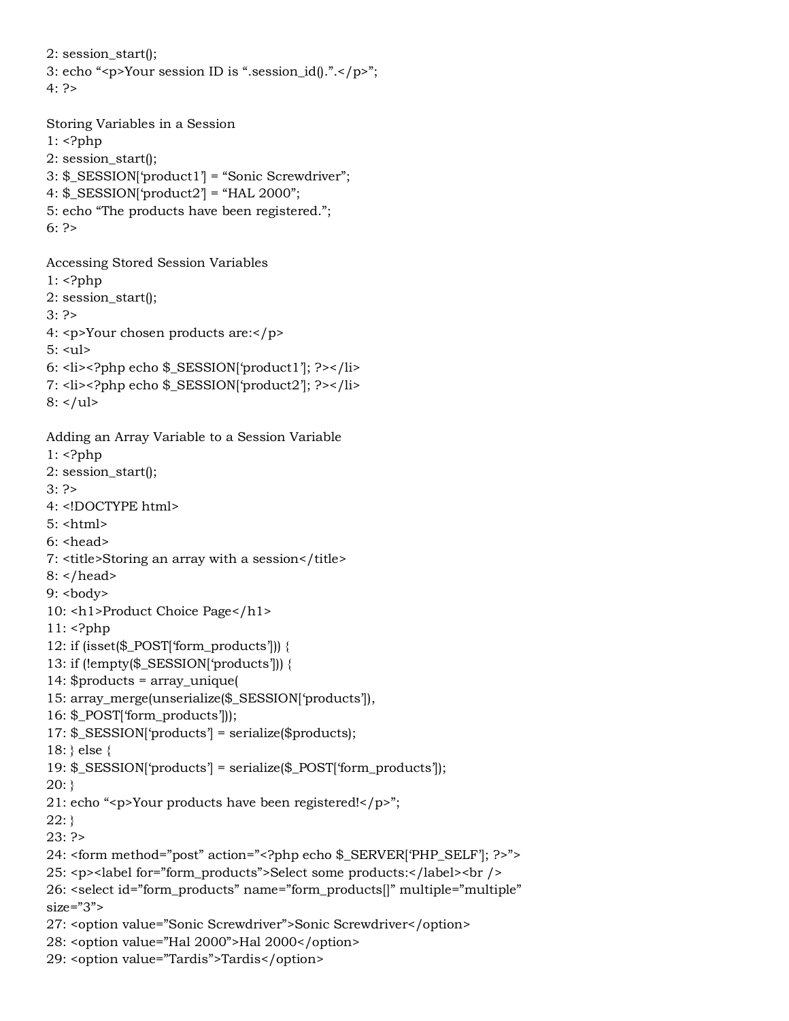2: session\_start(); 3: echo "<p>Your session ID is ".session\_id().".</p>";  $4.2$ 

Storing Variables in a Session 1: <?php 2: session\_start(); 3: \$\_SESSION['product1'] = "Sonic Screwdriver"; 4:  $\S$ \_SESSION['product2'] = "HAL 2000"; 5: echo "The products have been registered."; 6: ?>

Accessing Stored Session Variables

- $1:$  <?php
- 2: session\_start();
- $3: ?$
- 4: <p>Your chosen products are:</p>
- $5:$   $\langle$ ul $>$
- 6: <li><?php echo \$\_SESSION['product1']; ?></li>
- 7: <li><?php echo \$\_SESSION['product2']; ?></li>

```
8: </ul>
```
Adding an Array Variable to a Session Variable

```
1: \langle?php
```
- 2: session\_start();
- 3: ?>
- 4: <!DOCTYPE html>
- 5: <html>
- $6:$  <head>
- 7: <title>Storing an array with a session</title>
- 8: </head>

 $9:$ 

- 10: <h1>Product Choice Page</h1>
- 11: <?php
- 12: if (isset(\$\_POST['form\_products'])) {
- 13: if (!empty(\$\_SESSION['products'])) {
- 14: \$products = array\_unique(
- 15: array\_merge(unserialize(\$\_SESSION['products']),
- 16: \$\_POST['form\_products']));
- 17: \$\_SESSION['products'] = serialize(\$products);
- 18: } else {
- 19: \$\_SESSION['products'] = serialize(\$\_POST['form\_products']);

 $20:$ }

- 21: echo "<p>Your products have been registered!</p>";
- $22:$ }
- 23: ?>
- 24: <form method="post" action="<?php echo \$\_SERVER['PHP\_SELF']; ?>">
- 25: <p><label for="form\_products">Select some products:</label><br/>shownly
- 26: <select id="form\_products" name="form\_products[]" multiple="multiple"  $size="3"$
- 27: <option value="Sonic Screwdriver">Sonic Screwdriver</option>
- 28: <option value="Hal 2000">Hal 2000</option>
- 29: <option value="Tardis">Tardis</option>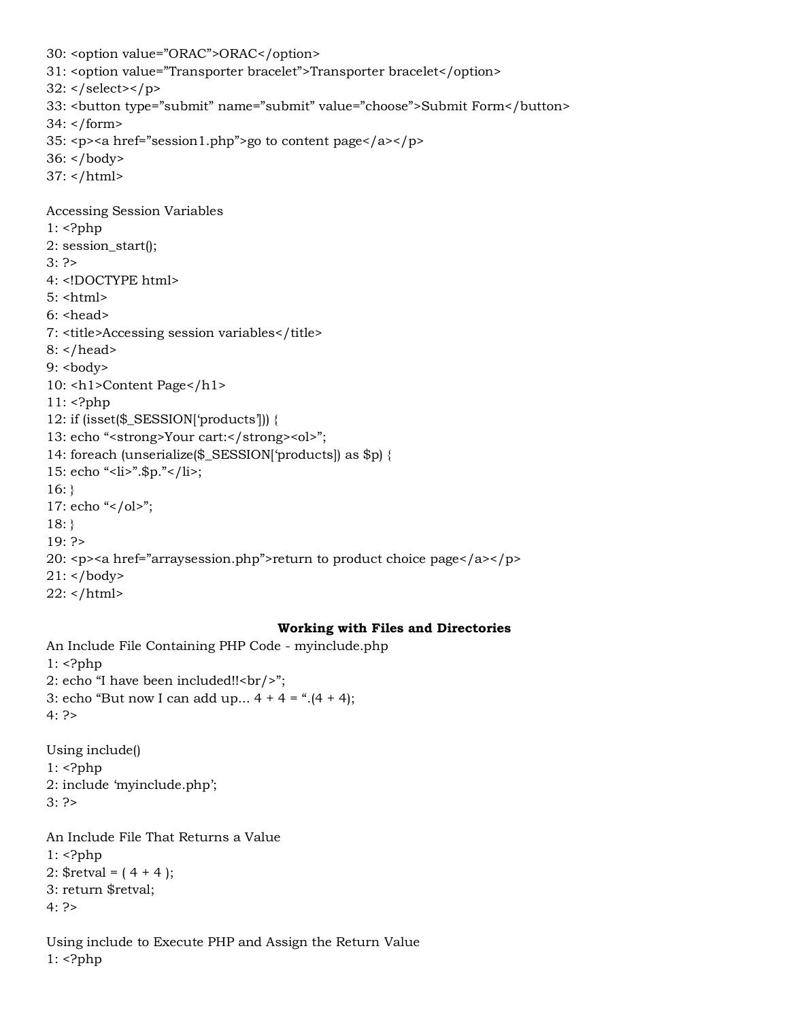```
30: <option value="ORAC">ORAC</option>
31: <option value="Transporter bracelet">Transporter bracelet</option>
32: </select></p>
33: <button type="submit" name="submit" value="choose">Submit Form</button>
34: </form>
35: <p><a href="session1.php">go to content page</a></p>
36: </body>
37: </html>
Accessing Session Variables
1: <?php
2: session_start();
3: ?>
4: <!DOCTYPE html>
5: <html>
6: <head>
7: <title>Accessing session variables</title>
8: </head>
9: <body>10: <h1>Content Page</h1>
11: <?php
12: if (isset($_SESSION['products'])) {
13: echo "<strong>Your cart:</strong><ol>";
14: foreach (unserialize($_SESSION['products]) as $p) {
15: echo "<li>".$p."</li>;
16:}
17: echo "</ol>";
18: }
19: ?>
20: <p><a href="arraysession.php">return to product choice page</a></p>
21: </body>
22: </html>
```
#### **Working with Files and Directories**

```
An Include File Containing PHP Code - myinclude.php
1: <?php
2: echo "I have been included!!<br/>>hr/>";
3: echo "But now I can add up... 4 + 4 = ".(4 + 4);
4: ?>
Using include()
1: \langle?php
2: include 'myinclude.php';
3: ?>
An Include File That Returns a Value
1: <?php2: $retval = (4 + 4);3: return $retval;
```

```
4: ?>
```
Using include to Execute PHP and Assign the Return Value 1: <?php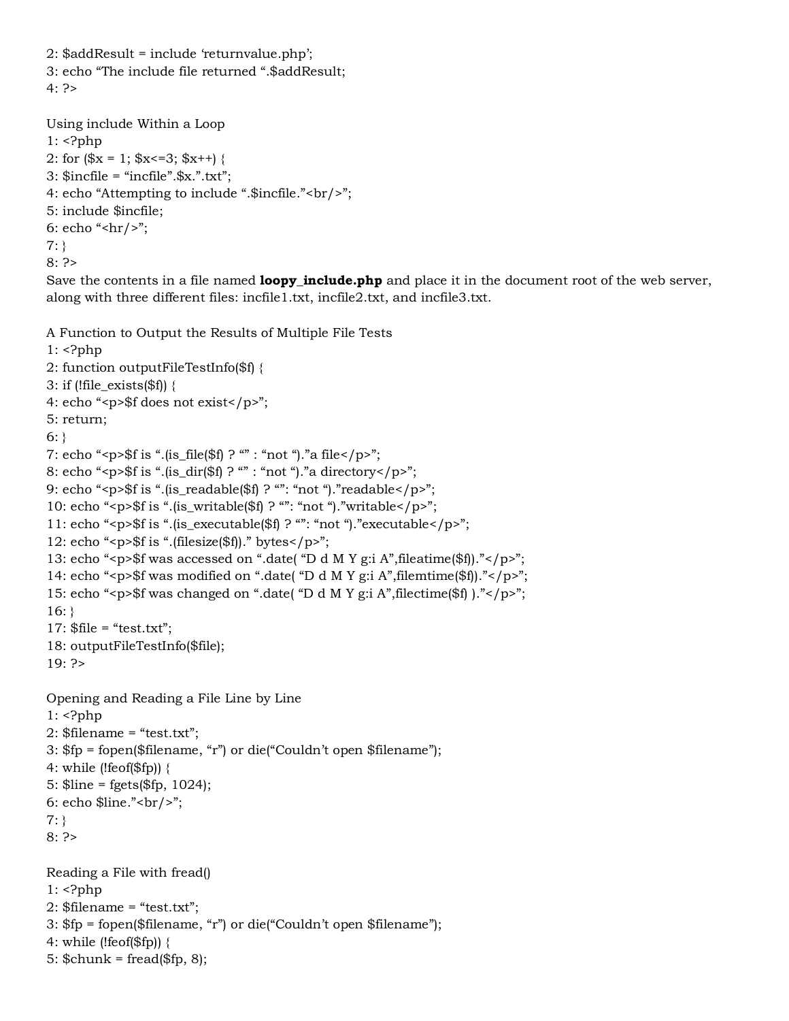```
2: $addResult = include 'returnvalue.php';
3: echo "The include file returned ".$addResult;
4.2
```

```
Using include Within a Loop
1: <?php
2: for (\$x = 1; \$x \le 3; \$x++) {
3: $incfile = "incfile".$x.".txt";
4: echo "Attempting to include ".$incfile."<br/>>br/>";
5: include $incfile;
6: echo "<hr/>*;
7: }
8: ?>
```
Save the contents in a file named **loopy\_include.php** and place it in the document root of the web server, along with three different files: incfile1.txt, incfile2.txt, and incfile3.txt.

A Function to Output the Results of Multiple File Tests

```
1: \langle?php
2: function outputFileTestInfo($f) {
3: if (!file_exists($f)) {
4: echo "<p>$f does not exist</p>";
5: return;
6:}
7: echo "<p>$f is ".(is_file($f) ? "" : "not ")."a file</p>";
8: echo "<p>$f is ".(is_dir($f) ? "" : "not ")."a directory</p>";
9: echo "<p>$f is ".(is_readable($f) ? "": "not ")."readable</p>";
10: echo "<p>$f is ".(is_writable($f) ? "": "not ")."writable</p>";
11: echo "<p>$f is ".(is_executable($f) ? "": "not ")."executable</p>";
12: echo "<p>$f is ".(filesize($f))." bytes</p>";
13: echo "<p>$f was accessed on ".date( "D d M Y g:i A",fileatime($f))."</p>";
14: echo "<p>$f was modified on ".date( "D d M Y g:i A",filemtime($f))."</p>";
15: echo "<p>$f was changed on ".date( "D d M Y g:i A",filectime($f) )."</p>";
16:}
17: $file = "test.txt";18: outputFileTestInfo($file);
19: ?>
Opening and Reading a File Line by Line
1: <?php
2: $filename = "test.txt";3: $fp = fopen($filename, "r") or die("Couldn't open $filename");
4: while (!feof($fp)) {
5: $line = fgets($fp, 1024);
6: echo \frac{\sin e \cdot \csc h}{\sin h};
7: }
8: ?>
Reading a File with fread()
1: \langle?php
2: $filename = "test.txt";
3: $fp = fopen($filename, "r") or die("Couldn't open $filename");
4: while (!f\text{eof}(\$fp)) {
5: \text{Schunk} = \text{fred}(\$fp, 8);
```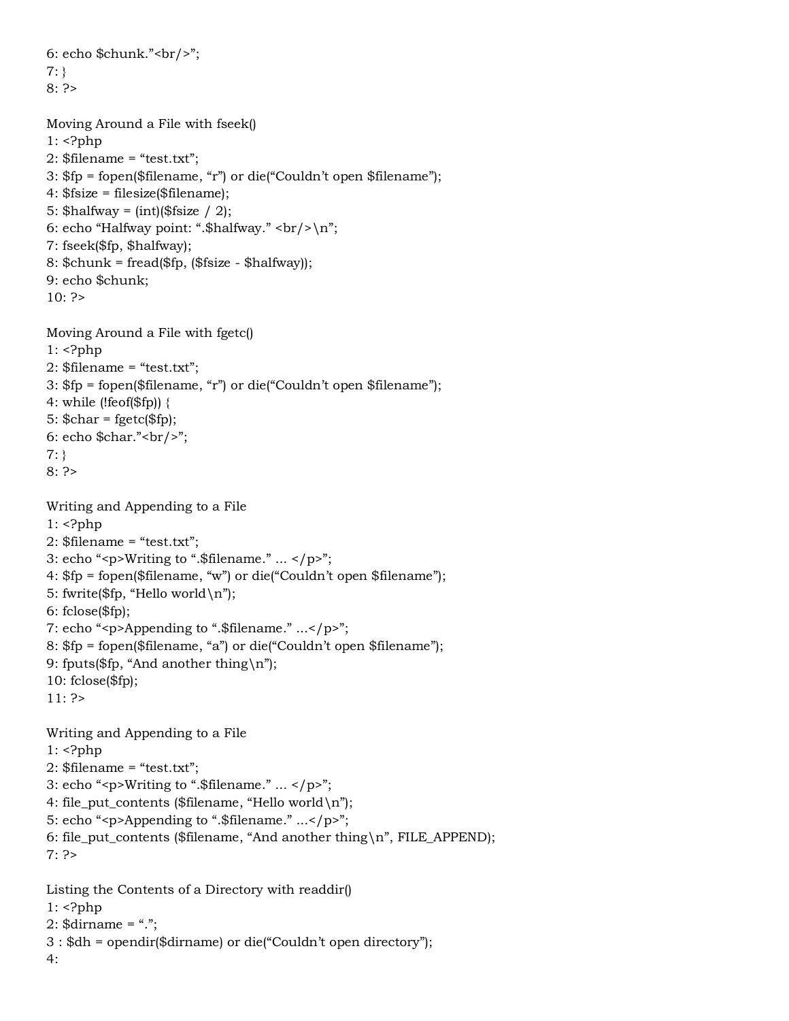```
6: echo \mathcal{S}chunk."<br/>>br/>";
7: }
8: ?>
```
4:

```
Moving Around a File with fseek()
1: <?php
2: $filename = "test.txt";
3: $fp = fopen($filename, "r") or die("Couldn't open $filename");
4: $fsize = filesize($filename);
5: \thetahalfway = (int)(\thetafsize / 2);
6: echo "Halfway point: ".$halfway." <br/> \text{Br}/\text{Br}";
7: fseek($fp, $halfway);
8: \text{Schunk} = \text{fred}(\text{Sfp}, \text{(Sfsize - Shalfway)});9: echo $chunk;
10: ?>Moving Around a File with fgetc()
1: <?php
2: $filename = "test.txt";
3: $fp = fopen($filename, "r") or die("Couldn't open $filename");
4: while (!feof($fp)) {
5: \text{Schar} = \text{fgetc}(\text{Sfp});6: echo \frac{\cosh x - \cosh y}{\sinh y};
7: }
8: ?>
Writing and Appending to a File
1: <?php
2: $filename = "test.txt";3: echo "<p>Writing to ".$filename." ... </p>";
4: $fp = fopen($filename, "w") or die("Couldn't open $filename");
5: fwrite($fp, "Hello world \n\rightharpoonup");
6: fclose($fp);
7: echo "<p>Appending to ".$filename." ...</p>";
8: $fp = fopen($filename, "a") or die("Couldn't open $filename");
9: fputs($fp, "And another thing\n");
10: fclose($fp);
11: ?>
Writing and Appending to a File
1: <?php2: $filename = "test.txt";
3: echo "<p>Writing to ".$filename." ... </p>";
4: file put contents ($filename, "Hello world\n");
5: echo "<p>Appending to ".$filename." ...</p>";
6: file_put_contents ($filename, "And another thing\n", FILE_APPEND);
7: ?>Listing the Contents of a Directory with readdir()
1: <?php
2: $dirname = ".";
3 : $dh = opendir($dirname) or die("Couldn't open directory");
```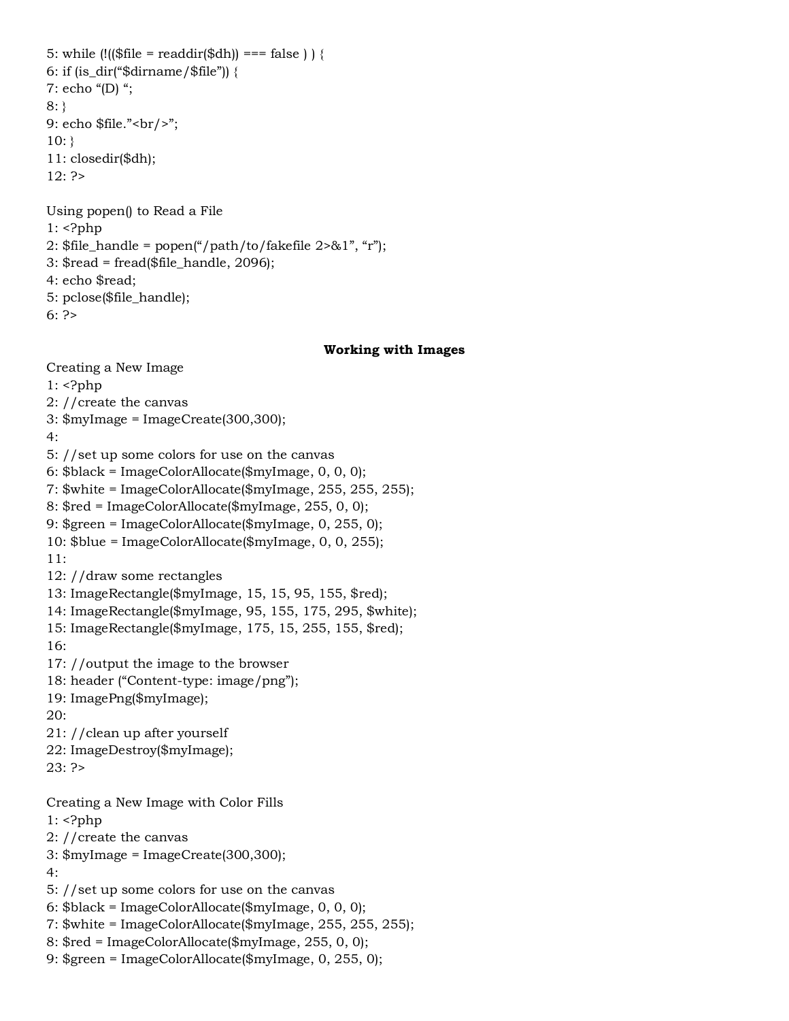5: while  $\left(\frac{1}{5}$  ( $\frac{1}{5}$ ) === false  $\right)$  { 6: if  $(is_dir("§dirname/\$file"))$  { 7: echo "(D) "; 8: } 9: echo \$file."<br/>>br/>";  $10:$ } 11: closedir(\$dh); 12: ?> Using popen() to Read a File  $1:$  <?php 2:  $$file\_handle = popen("path/to/fakefile 2>&1", "r");$  $3:$  \$read = fread(\$file\_handle, 2096);

4: echo \$read;

5: pclose(\$file\_handle);

 $6: ?$ 

#### **Working with Images**

Creating a New Image  $1:$   $\langle$ ?php 2: //create the canvas 3: \$myImage = ImageCreate(300,300); 4: 5: //set up some colors for use on the canvas 6: \$black = ImageColorAllocate(\$myImage, 0, 0, 0); 7: \$white = ImageColorAllocate(\$myImage, 255, 255, 255); 8: \$red = ImageColorAllocate(\$myImage, 255, 0, 0); 9: \$green = ImageColorAllocate(\$myImage, 0, 255, 0); 10: \$blue = ImageColorAllocate(\$myImage, 0, 0, 255); 11: 12: //draw some rectangles 13: ImageRectangle(\$myImage, 15, 15, 95, 155, \$red); 14: ImageRectangle(\$myImage, 95, 155, 175, 295, \$white); 15: ImageRectangle(\$myImage, 175, 15, 255, 155, \$red); 16: 17: //output the image to the browser 18: header ("Content-type: image/png"); 19: ImagePng(\$myImage); 20: 21: //clean up after yourself 22: ImageDestroy(\$myImage); 23: ?> Creating a New Image with Color Fills 1: <?php 2: //create the canvas 3: \$myImage = ImageCreate(300,300); 4: 5: //set up some colors for use on the canvas 6: \$black = ImageColorAllocate(\$myImage, 0, 0, 0); 7: \$white = ImageColorAllocate(\$myImage, 255, 255, 255); 8: \$red = ImageColorAllocate(\$myImage, 255, 0, 0); 9: \$green = ImageColorAllocate(\$myImage, 0, 255, 0);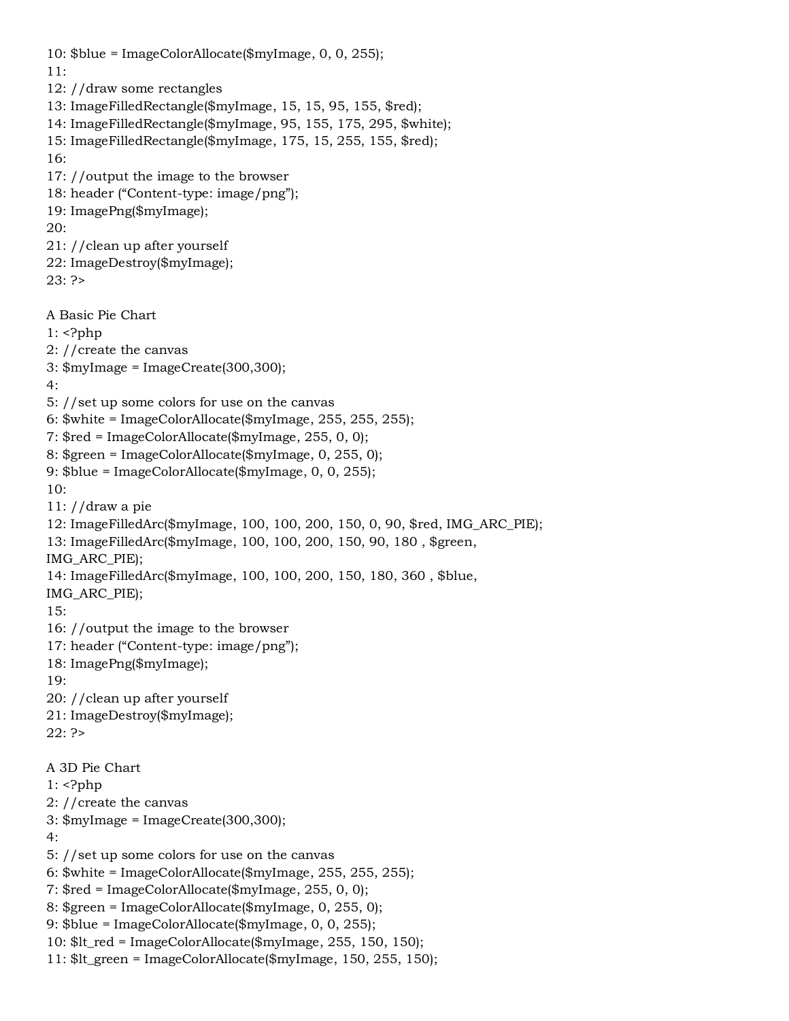```
10: $blue = ImageColorAllocate($myImage, 0, 0, 255);
11:
12: //draw some rectangles
13: ImageFilledRectangle($myImage, 15, 15, 95, 155, $red);
14: ImageFilledRectangle($myImage, 95, 155, 175, 295, $white);
15: ImageFilledRectangle($myImage, 175, 15, 255, 155, $red);
16:
17: //output the image to the browser
18: header ("Content-type: image/png");
19: ImagePng($myImage);
20:
21: //clean up after yourself
22: ImageDestroy($myImage);
23: ?>A Basic Pie Chart
1: <?php
2: //create the canvas
3: $myImage = ImageCreate(300,300);
4:
5: //set up some colors for use on the canvas
6: $white = ImageColorAllocate($myImage, 255, 255, 255);
7: $red = ImageColorAllocate($myImage, 255, 0, 0);
8: $green = ImageColorAllocate($myImage, 0, 255, 0);
9: $blue = ImageColorAllocate($myImage, 0, 0, 255);
10:
11: //draw a pie
12: ImageFilledArc($myImage, 100, 100, 200, 150, 0, 90, $red, IMG_ARC_PIE);
13: ImageFilledArc($myImage, 100, 100, 200, 150, 90, 180 , $green,
IMG_ARC_PIE);
14: ImageFilledArc($myImage, 100, 100, 200, 150, 180, 360 , $blue,
IMG_ARC_PIE);
15:
16: //output the image to the browser
17: header ("Content-type: image/png");
18: ImagePng($myImage);
19:
20: //clean up after yourself
21: ImageDestroy($myImage);
22: ?>A 3D Pie Chart
1: <?php
2: //create the canvas
3: $myImage = ImageCreate(300,300);
4:
5: //set up some colors for use on the canvas
6: $white = ImageColorAllocate($myImage, 255, 255, 255);
7: $red = ImageColorAllocate($myImage, 255, 0, 0);
8: $green = ImageColorAllocate($myImage, 0, 255, 0);
9: $blue = ImageColorAllocate($myImage, 0, 0, 255);
10: It red = ImageColorAlice(\n$myImage, 255, 150, 150);11: It green = ImageColorAlice(8myImage, 150, 255, 150);
```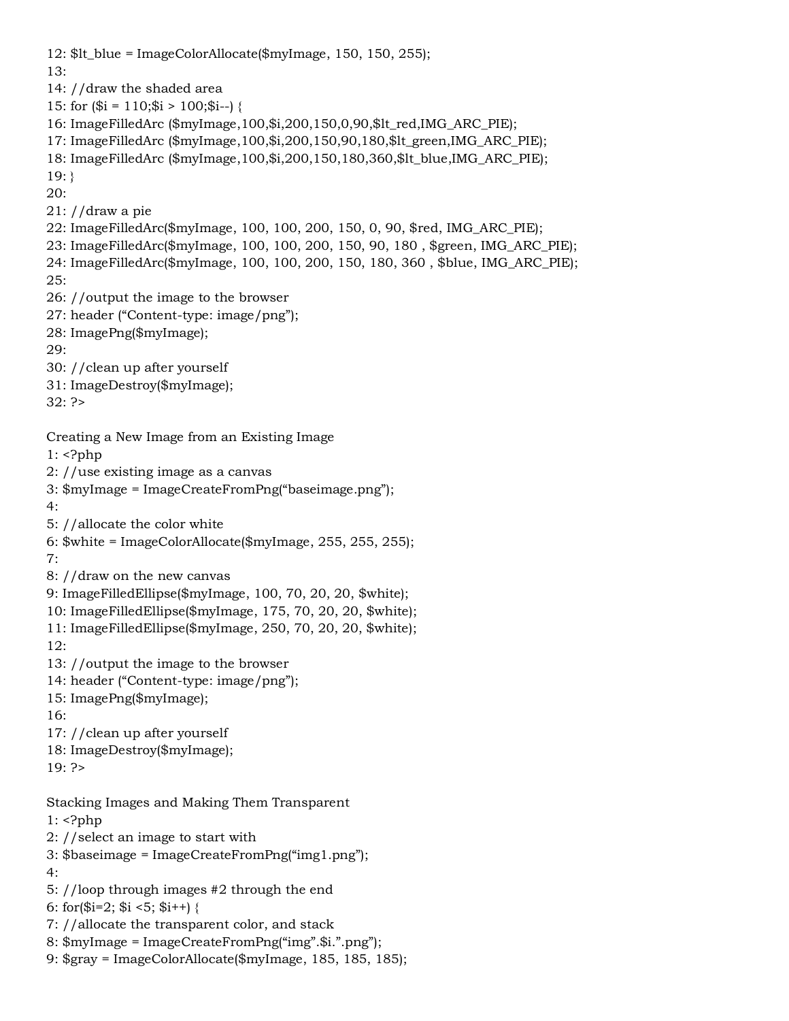12: \$lt\_blue = ImageColorAllocate(\$myImage, 150, 150, 255); 13: 14: //draw the shaded area 15: for  $(\$i = 110;\$i > 100;\$i--)$  { 16: ImageFilledArc (\$myImage,100,\$i,200,150,0,90,\$lt\_red,IMG\_ARC\_PIE); 17: ImageFilledArc (\$myImage,100,\$i,200,150,90,180,\$lt\_green,IMG\_ARC\_PIE); 18: ImageFilledArc (\$myImage,100,\$i,200,150,180,360,\$lt\_blue,IMG\_ARC\_PIE); 19: } 20: 21: //draw a pie 22: ImageFilledArc(\$myImage, 100, 100, 200, 150, 0, 90, \$red, IMG\_ARC\_PIE); 23: ImageFilledArc(\$myImage, 100, 100, 200, 150, 90, 180 , \$green, IMG\_ARC\_PIE); 24: ImageFilledArc(\$myImage, 100, 100, 200, 150, 180, 360 , \$blue, IMG\_ARC\_PIE);  $25$ 26: //output the image to the browser 27: header ("Content-type: image/png"); 28: ImagePng(\$myImage); 29: 30: //clean up after yourself 31: ImageDestroy(\$myImage); 32: ?> Creating a New Image from an Existing Image  $1:$   $\langle$ ?php 2: //use existing image as a canvas 3: \$myImage = ImageCreateFromPng("baseimage.png"); 4: 5: //allocate the color white 6: \$white = ImageColorAllocate(\$myImage, 255, 255, 255); 7: 8: //draw on the new canvas 9: ImageFilledEllipse(\$myImage, 100, 70, 20, 20, \$white); 10: ImageFilledEllipse(\$myImage, 175, 70, 20, 20, \$white); 11: ImageFilledEllipse(\$myImage, 250, 70, 20, 20, \$white); 12: 13: //output the image to the browser 14: header ("Content-type: image/png"); 15: ImagePng(\$myImage); 16: 17: //clean up after yourself 18: ImageDestroy(\$myImage); 19: ?> Stacking Images and Making Them Transparent  $1:$   $\langle$ ?php 2: //select an image to start with 3: \$baseimage = ImageCreateFromPng("img1.png"); 4: 5: //loop through images #2 through the end 6: for $(\$i=2; \$i \leq 5; \$i++)$  { 7: //allocate the transparent color, and stack 8: \$myImage = ImageCreateFromPng("img".\$i.".png"); 9: \$gray = ImageColorAllocate(\$myImage, 185, 185, 185);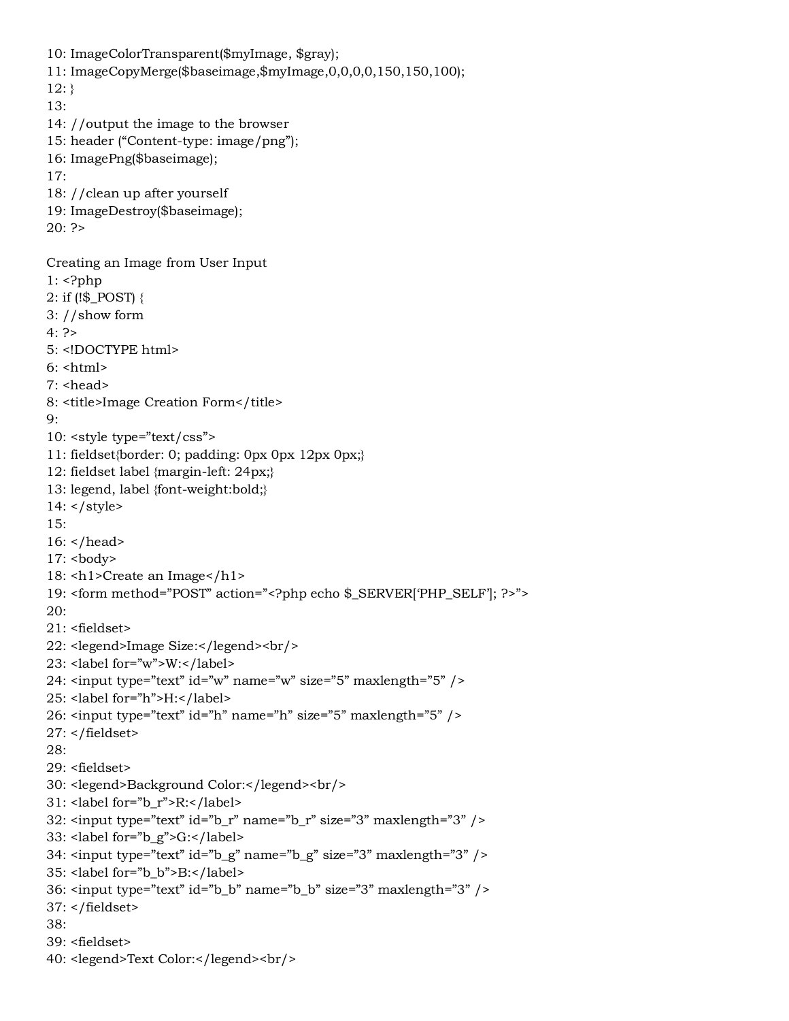10: ImageColorTransparent(\$myImage, \$gray); 11: ImageCopyMerge(\$baseimage,\$myImage,0,0,0,0,150,150,100);  $12:$ } 13: 14: //output the image to the browser 15: header ("Content-type: image/png"); 16: ImagePng(\$baseimage); 17: 18: //clean up after yourself 19: ImageDestroy(\$baseimage);  $20: ?>$ Creating an Image from User Input  $1:$  <?php 2: if (!\$\_POST) { 3: //show form  $4: ?>$ 5: <!DOCTYPE html>  $6:$  <html>  $7:$  <head> 8: <title>Image Creation Form</title> 9: 10: <style type="text/css"> 11: fieldset{border: 0; padding: 0px 0px 12px 0px;} 12: fieldset label {margin-left: 24px;} 13: legend, label {font-weight:bold;} 14: </style> 15: 16: </head> 17: <br/>body> 18: <h1>Create an Image</h1> 19: <form method="POST" action="<?php echo \$\_SERVER['PHP\_SELF']; ?>"> 20: 21: <fieldset> 22: <legend>Image Size:</legend><br/> 23: <label for="w">W:</label> 24:  $\langle$ input type="text" id="w" name="w" size="5" maxlength="5" /> 25: <label for="h">H:</label> 26: <input type="text" id="h" name="h" size="5" maxlength="5" /> 27: </fieldset> 28: 29: <fieldset> 30: <legend>Background Color:</legend><br/>  $31:$  <label for="b\_r">R:</label> 32:  $\langle$ input type="text" id="b\_r" name="b\_r" size="3" maxlength="3" /> 33: <label for="b\_g">G:</label> 34: <input type="text" id="b\_g" name="b\_g" size="3" maxlength="3" /> 35: <label for="b\_b">B:</label> 36: <input type="text" id="b\_b" name="b\_b" size="3" maxlength="3" /> 37: </fieldset> 38: 39: <fieldset> 40: <legend>Text Color:</legend><br/>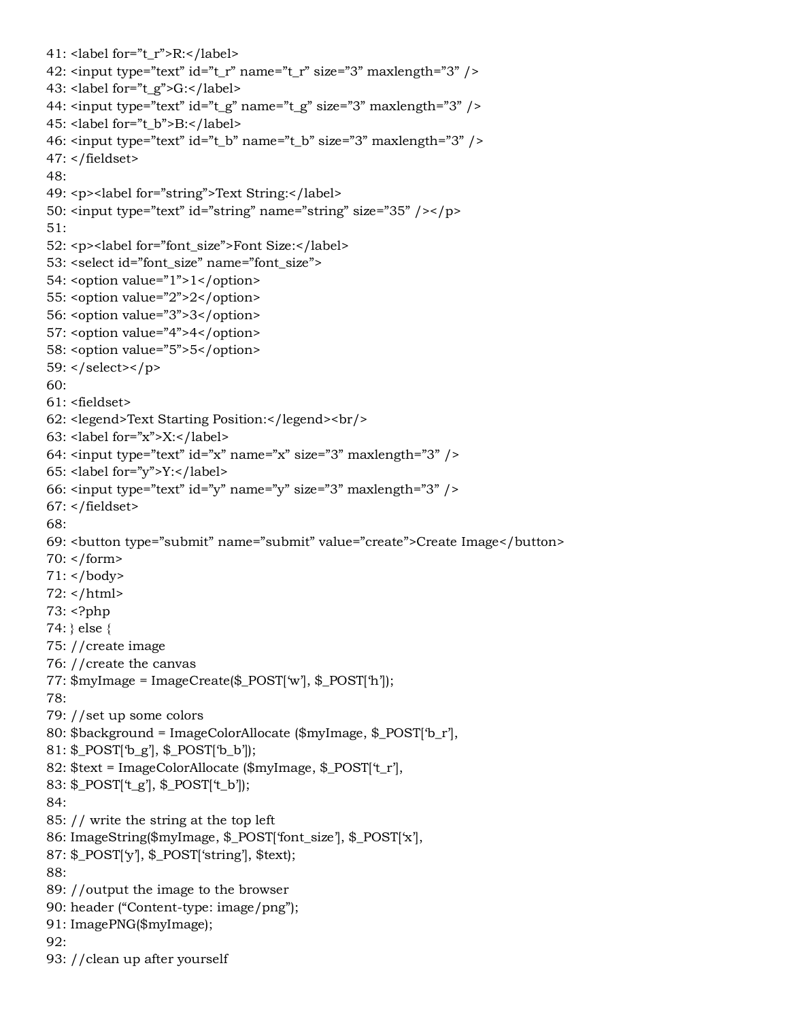```
41: < label for ="t_r">R: < / label>42: \langleinput type="text" id="t_r" name="t_r" size="3" maxlength="3" />
43: <label for="t_g">G:</label>
44: \langleinput type="text" id="t_g" name="t_g" size="3" maxlength="3" />
45: <label for="t_b">B:</label>
46: \langleinput type="text" id="t_b" name="t_b" size="3" maxlength="3" />
47: </fieldset>
48:
49: <p><label for="string">Text String:</label>
50: \langleinput type="text" id="string" name="string" size="35" />\langle/p>
51:
52: <p><label for="font_size">Font Size:</label>
53: <select id="font_size" name="font_size">
54: <option value="1">1</option>
55: < option value="2">2</option>
56: <option value="3">3</option>
57: <option value="4">4</option>
58: <option value="5">5</option>
59: \langle select>\langle p>
60:
61: <fieldset>
62: <legend>Text Starting Position:</legend><br/>
63: <label for="x">X:</label>
64: \epsiloninput type="text" id="x" name="x" size="3" maxlength="3" />
65: <label for="y">Y:</label>
66: \langleinput type="text" id="y" name="y" size="3" maxlength="3" />
67: </fieldset>
68:
69: <button type="submit" name="submit" value="create">Create Image</button>
70: </form>
71: </body>
72: </html>
73: <?php
74: } else {
75: //create image
76: //create the canvas
77: $myImage = ImageCreate($_POST['w'], $_POST['h']);
78:
79: //set up some colors
80: $background = ImageColorAllocate ($myImage, $_POST['b_r'],
81: $_POST['b_g'], $_POST['b_b']);
82: $text = ImageColorAllocate ($myImage, $_POST['t_r'],
83: $_POST['t_g'], $_POST['t_b']);
84:
85: // write the string at the top left
86: ImageString($myImage, $_POST['font_size'], $_POST['x'],
87: $_POST['y'], $_POST['string'], $text);
88:
89: //output the image to the browser
90: header ("Content-type: image/png");
91: ImagePNG($myImage);
92:
93: //clean up after yourself
```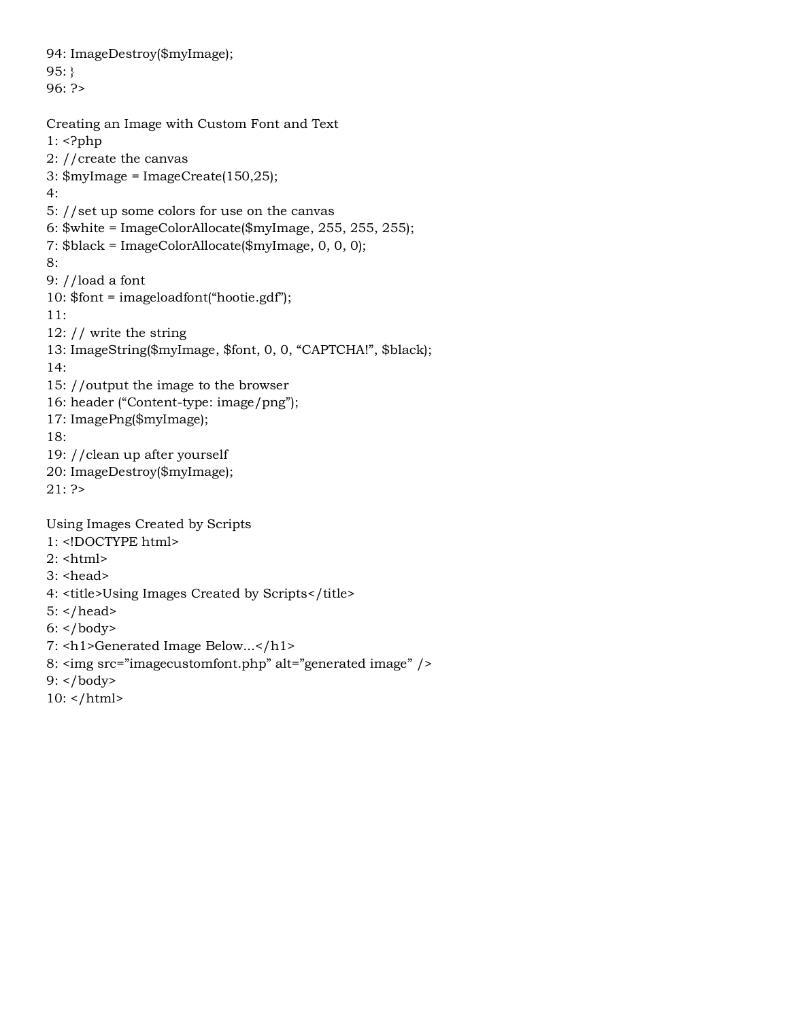94: ImageDestroy(\$myImage); 95: } 96: ?> Creating an Image with Custom Font and Text 1: <?php 2: //create the canvas 3: \$myImage = ImageCreate(150,25); 4: 5: //set up some colors for use on the canvas 6: \$white = ImageColorAllocate(\$myImage, 255, 255, 255); 7: \$black = ImageColorAllocate(\$myImage, 0, 0, 0); 8: 9: //load a font 10: \$font = imageloadfont("hootie.gdf"); 11: 12: // write the string 13: ImageString(\$myImage, \$font, 0, 0, "CAPTCHA!", \$black); 14: 15: //output the image to the browser 16: header ("Content-type: image/png"); 17: ImagePng(\$myImage); 18: 19: //clean up after yourself 20: ImageDestroy(\$myImage); 21: ?> Using Images Created by Scripts 1: <!DOCTYPE html>  $2:$   $\text{html}$ 

- $3:$  <head>
- 4: <title>Using Images Created by Scripts</title>
- $5:$  </head>
- $6:$  </body>
- 7: <h1>Generated Image Below...</h1>
- 8: <img src="imagecustomfont.php" alt="generated image" />
- 9: </body>
- $10:$  </html>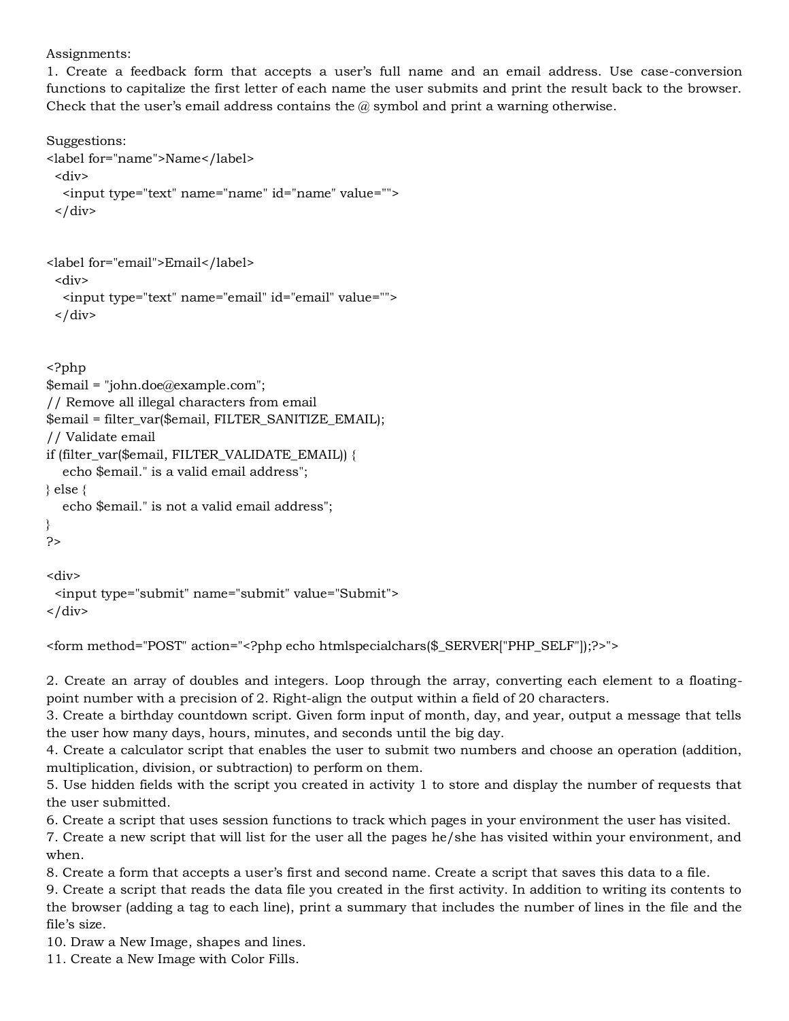## Assignments:

1. Create a feedback form that accepts a user's full name and an email address. Use case-conversion functions to capitalize the first letter of each name the user submits and print the result back to the browser. Check that the user's email address contains the  $@$  symbol and print a warning otherwise.

Suggestions:

```
<label for="name">Name</label>
  <div>
   <input type="text" name="name" id="name" value="">
 \langle div>
```

```
<label for="email">Email</label>
  <div>
   <input type="text" name="email" id="email" value="">
 \langle div\rangle
```
<?php

```
$email = "john.doe@example.com";
// Remove all illegal characters from email
$email = filter_var($email, FILTER_SANITIZE_EMAIL);
// Validate email
if (filter_var($email, FILTER_VALIDATE_EMAIL)) {
   echo $email." is a valid email address";
} else {
   echo $email." is not a valid email address";
}
?>
<div>
```

```
 <input type="submit" name="submit" value="Submit">
</div>
```

```
<form method="POST" action="<?php echo htmlspecialchars($_SERVER["PHP_SELF"]);?>">
```
2. Create an array of doubles and integers. Loop through the array, converting each element to a floatingpoint number with a precision of 2. Right-align the output within a field of 20 characters.

3. Create a birthday countdown script. Given form input of month, day, and year, output a message that tells the user how many days, hours, minutes, and seconds until the big day.

4. Create a calculator script that enables the user to submit two numbers and choose an operation (addition, multiplication, division, or subtraction) to perform on them.

5. Use hidden fields with the script you created in activity 1 to store and display the number of requests that the user submitted.

6. Create a script that uses session functions to track which pages in your environment the user has visited.

7. Create a new script that will list for the user all the pages he/she has visited within your environment, and when.

8. Create a form that accepts a user's first and second name. Create a script that saves this data to a file.

9. Create a script that reads the data file you created in the first activity. In addition to writing its contents to the browser (adding a tag to each line), print a summary that includes the number of lines in the file and the file's size.

10. Draw a New Image, shapes and lines.

11. Create a New Image with Color Fills.